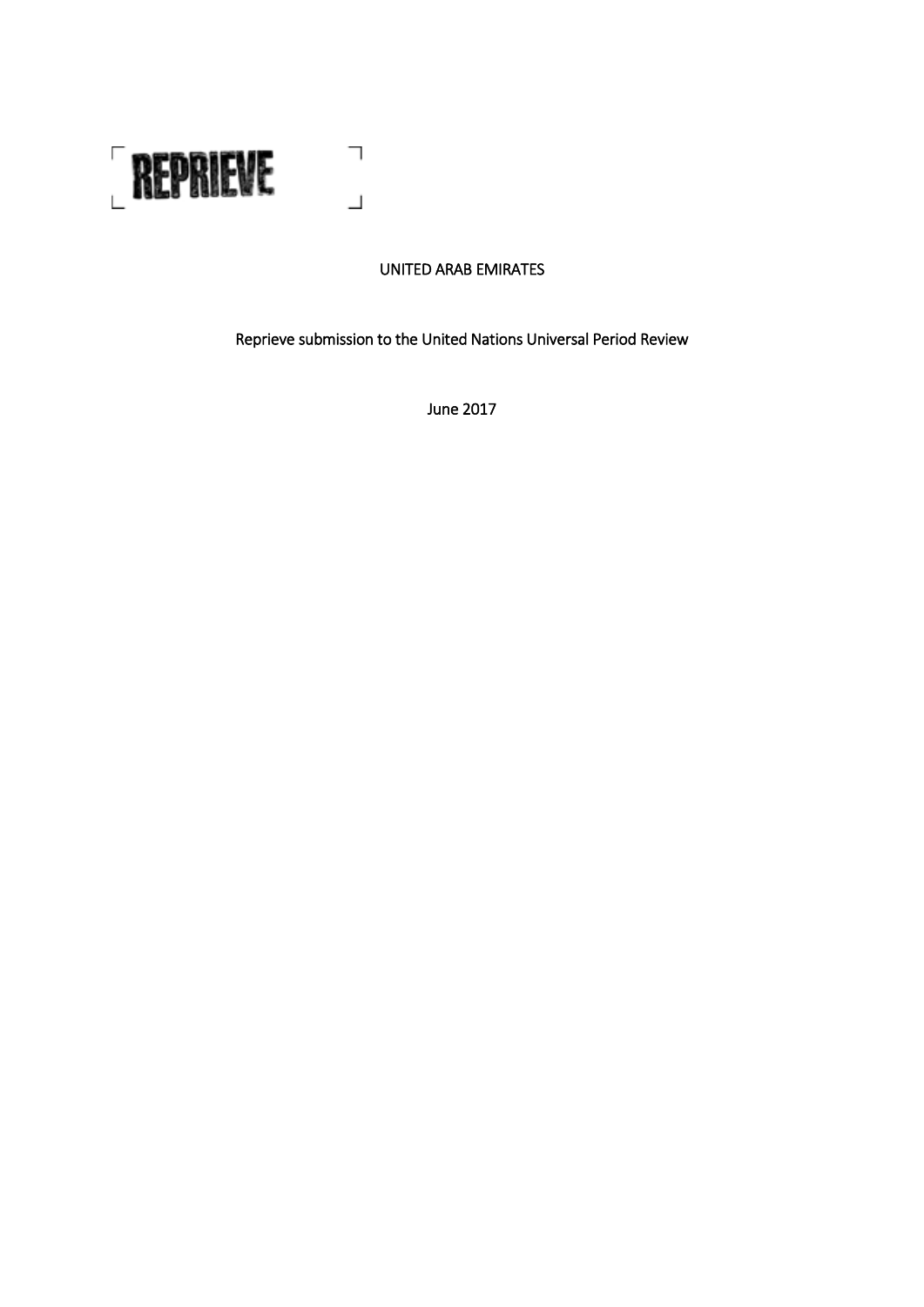

# UNITED ARAB EMIRATES

Reprieve submission to the United Nations Universal Period Review

June 2017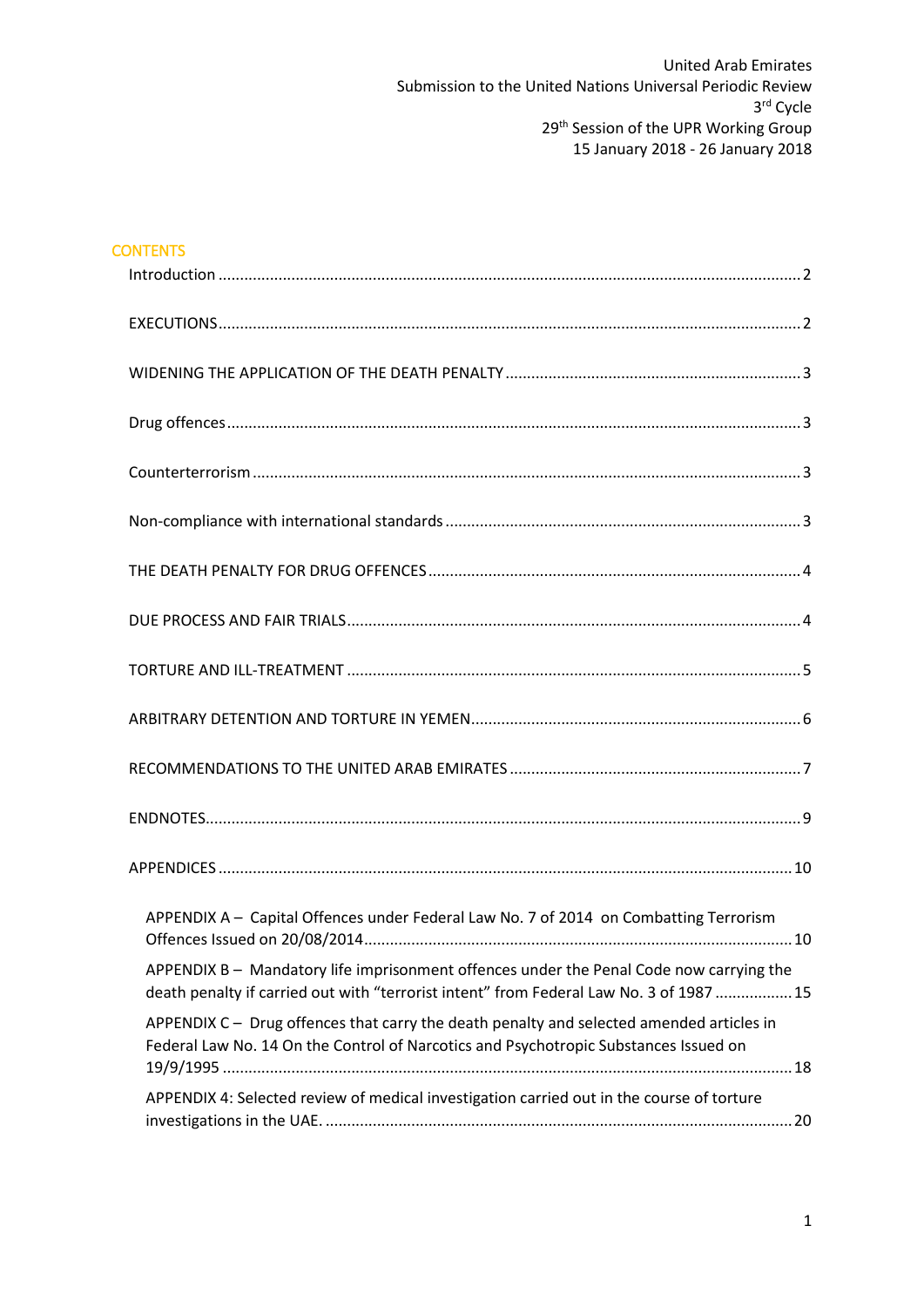| <b>CONTENTS</b>                                                                                                                                                                    |  |
|------------------------------------------------------------------------------------------------------------------------------------------------------------------------------------|--|
|                                                                                                                                                                                    |  |
|                                                                                                                                                                                    |  |
|                                                                                                                                                                                    |  |
|                                                                                                                                                                                    |  |
|                                                                                                                                                                                    |  |
|                                                                                                                                                                                    |  |
|                                                                                                                                                                                    |  |
|                                                                                                                                                                                    |  |
|                                                                                                                                                                                    |  |
|                                                                                                                                                                                    |  |
|                                                                                                                                                                                    |  |
|                                                                                                                                                                                    |  |
|                                                                                                                                                                                    |  |
| APPENDIX A - Capital Offences under Federal Law No. 7 of 2014 on Combatting Terrorism                                                                                              |  |
| APPENDIX B - Mandatory life imprisonment offences under the Penal Code now carrying the<br>death penalty if carried out with "terrorist intent" from Federal Law No. 3 of 1987  15 |  |
| APPENDIX C - Drug offences that carry the death penalty and selected amended articles in<br>Federal Law No. 14 On the Control of Narcotics and Psychotropic Substances Issued on   |  |
| APPENDIX 4: Selected review of medical investigation carried out in the course of torture                                                                                          |  |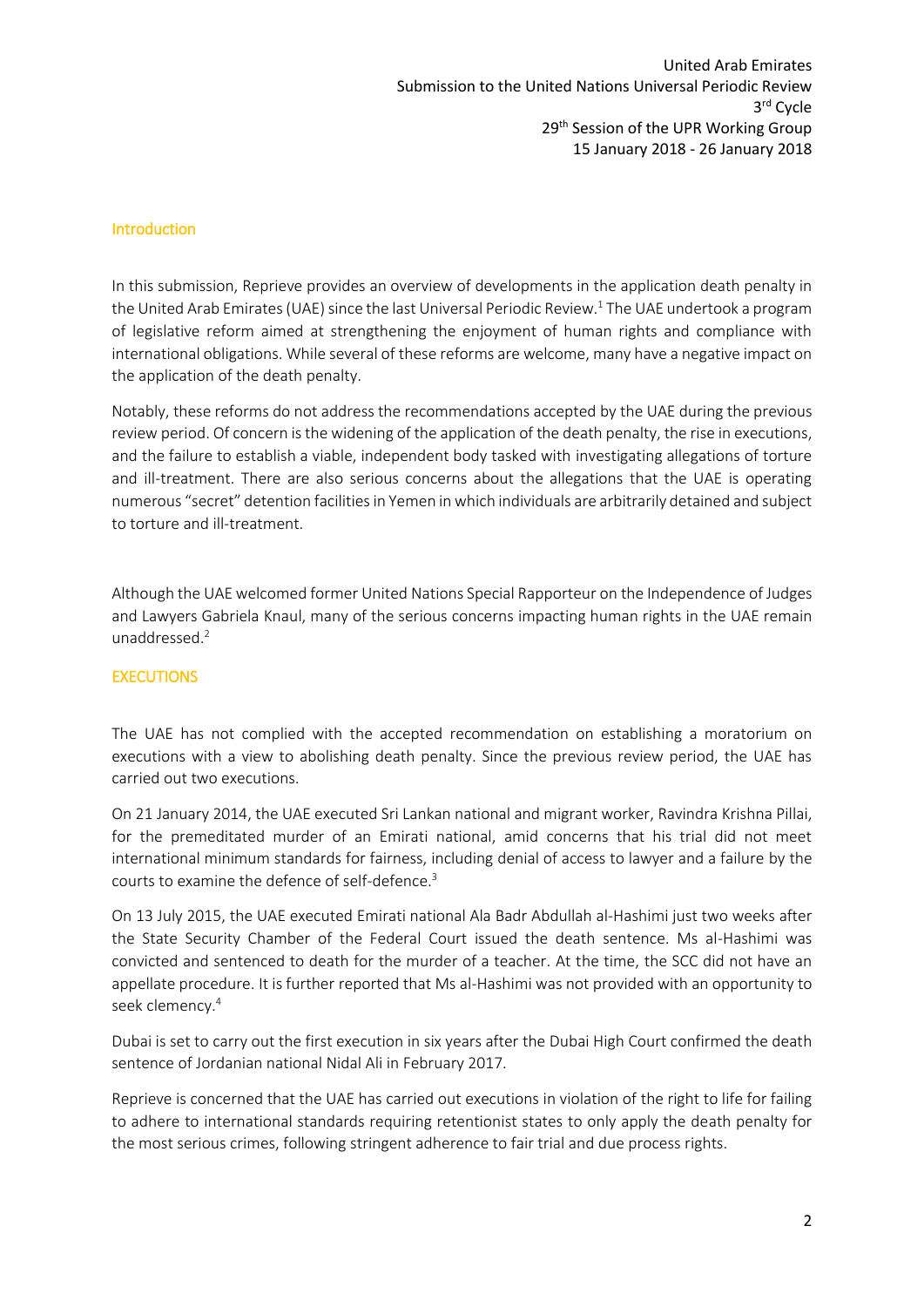#### <span id="page-2-0"></span>Introduction

In this submission, Reprieve provides an overview of developments in the application death penalty in the United Arab Emirates (UAE) since the last Universal Periodic Review.<sup>1</sup> The UAE undertook a program of legislative reform aimed at strengthening the enjoyment of human rights and compliance with international obligations. While several of these reforms are welcome, many have a negative impact on the application of the death penalty.

Notably, these reforms do not address the recommendations accepted by the UAE during the previous review period. Of concern is the widening of the application of the death penalty, the rise in executions, and the failure to establish a viable, independent body tasked with investigating allegations of torture and ill-treatment. There are also serious concerns about the allegations that the UAE is operating numerous "secret" detention facilities in Yemen in which individuals are arbitrarily detained and subject to torture and ill-treatment.

Although the UAE welcomed former United Nations Special Rapporteur on the Independence of Judges and Lawyers Gabriela Knaul, many of the serious concerns impacting human rights in the UAE remain unaddressed. 2

#### <span id="page-2-1"></span>**EXECUTIONS**

The UAE has not complied with the accepted recommendation on establishing a moratorium on executions with a view to abolishing death penalty. Since the previous review period, the UAE has carried out two executions.

On 21 January 2014, the UAE executed Sri Lankan national and migrant worker, Ravindra Krishna Pillai, for the premeditated murder of an Emirati national, amid concerns that his trial did not meet international minimum standards for fairness, including denial of access to lawyer and a failure by the courts to examine the defence of self-defence.<sup>3</sup>

On 13 July 2015, the UAE executed Emirati national Ala Badr Abdullah al-Hashimi just two weeks after the State Security Chamber of the Federal Court issued the death sentence. Ms al-Hashimi was convicted and sentenced to death for the murder of a teacher. At the time, the SCC did not have an appellate procedure. It is further reported that Ms al-Hashimi was not provided with an opportunity to seek clemency. 4

Dubai is set to carry out the first execution in six years after the Dubai High Court confirmed the death sentence of Jordanian national Nidal Ali in February 2017.

Reprieve is concerned that the UAE has carried out executions in violation of the right to life for failing to adhere to international standards requiring retentionist states to only apply the death penalty for the most serious crimes, following stringent adherence to fair trial and due process rights.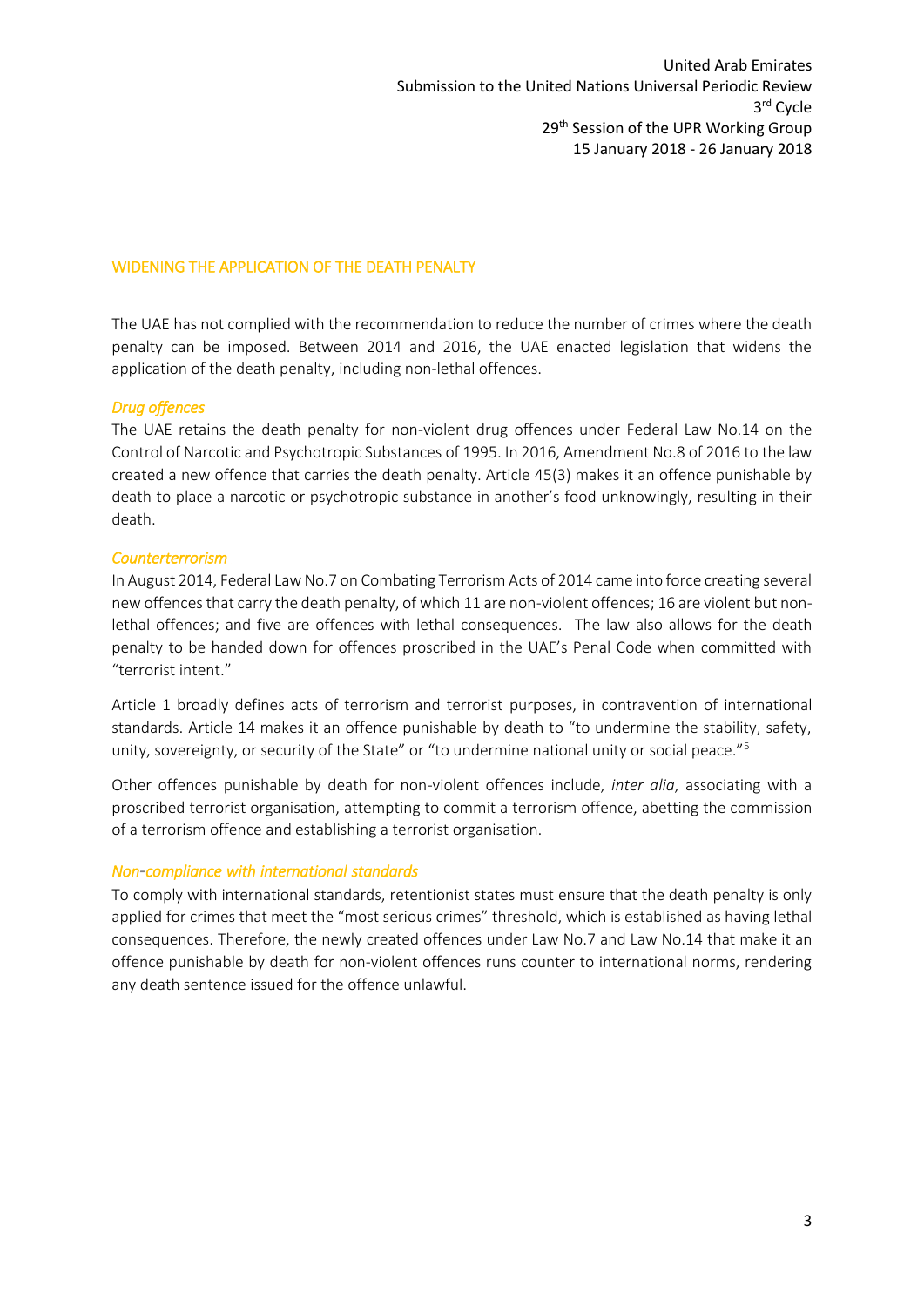## <span id="page-3-0"></span>WIDENING THE APPLICATION OF THE DEATH PENALTY

The UAE has not complied with the recommendation to reduce the number of crimes where the death penalty can be imposed. Between 2014 and 2016, the UAE enacted legislation that widens the application of the death penalty, including non-lethal offences.

#### <span id="page-3-1"></span>*Drug offences*

The UAE retains the death penalty for non-violent drug offences under Federal Law No.14 on the Control of Narcotic and Psychotropic Substances of 1995. In 2016, Amendment No.8 of 2016 to the law created a new offence that carries the death penalty. Article 45(3) makes it an offence punishable by death to place a narcotic or psychotropic substance in another's food unknowingly, resulting in their death.

#### <span id="page-3-2"></span>*Counterterrorism*

In August 2014, Federal Law No.7 on Combating Terrorism Acts of 2014 came into force creating several new offences that carry the death penalty, of which 11 are non-violent offences; 16 are violent but nonlethal offences; and five are offences with lethal consequences. The law also allows for the death penalty to be handed down for offences proscribed in the UAE's Penal Code when committed with "terrorist intent."

Article 1 broadly defines acts of terrorism and terrorist purposes, in contravention of international standards. Article 14 makes it an offence punishable by death to "to undermine the stability, safety, unity, sovereignty, or security of the State" or "to undermine national unity or social peace."<sup>5</sup>

Other offences punishable by death for non-violent offences include, *inter alia*, associating with a proscribed terrorist organisation, attempting to commit a terrorism offence, abetting the commission of a terrorism offence and establishing a terrorist organisation.

#### <span id="page-3-3"></span>*Non-compliance with international standards*

To comply with international standards, retentionist states must ensure that the death penalty is only applied for crimes that meet the "most serious crimes" threshold, which is established as having lethal consequences. Therefore, the newly created offences under Law No.7 and Law No.14 that make it an offence punishable by death for non-violent offences runs counter to international norms, rendering any death sentence issued for the offence unlawful.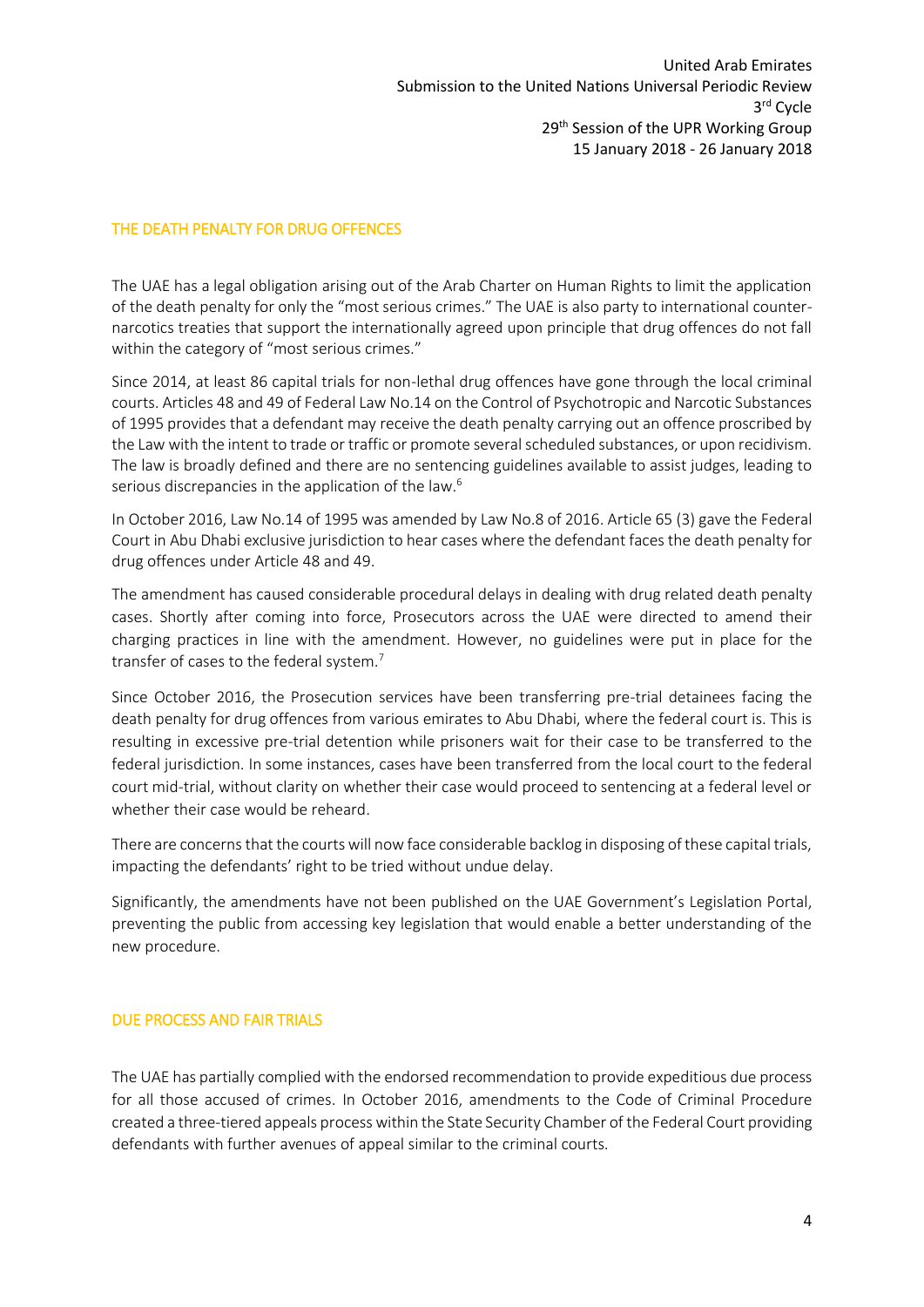#### <span id="page-4-0"></span>THE DEATH PENALTY FOR DRUG OFFENCES

The UAE has a legal obligation arising out of the Arab Charter on Human Rights to limit the application of the death penalty for only the "most serious crimes." The UAE is also party to international counternarcotics treaties that support the internationally agreed upon principle that drug offences do not fall within the category of "most serious crimes."

Since 2014, at least 86 capital trials for non-lethal drug offences have gone through the local criminal courts. Articles 48 and 49 of Federal Law No.14 on the Control of Psychotropic and Narcotic Substances of 1995 provides that a defendant may receive the death penalty carrying out an offence proscribed by the Law with the intent to trade or traffic or promote several scheduled substances, or upon recidivism. The law is broadly defined and there are no sentencing guidelines available to assist judges, leading to serious discrepancies in the application of the law.<sup>6</sup>

In October 2016, Law No.14 of 1995 was amended by Law No.8 of 2016. Article 65 (3) gave the Federal Court in Abu Dhabi exclusive jurisdiction to hear cases where the defendant faces the death penalty for drug offences under Article 48 and 49.

The amendment has caused considerable procedural delays in dealing with drug related death penalty cases. Shortly after coming into force, Prosecutors across the UAE were directed to amend their charging practices in line with the amendment. However, no guidelines were put in place for the transfer of cases to the federal system.<sup>7</sup>

Since October 2016, the Prosecution services have been transferring pre-trial detainees facing the death penalty for drug offences from various emirates to Abu Dhabi, where the federal court is. This is resulting in excessive pre-trial detention while prisoners wait for their case to be transferred to the federal jurisdiction. In some instances, cases have been transferred from the local court to the federal court mid-trial, without clarity on whether their case would proceed to sentencing at a federal level or whether their case would be reheard.

There are concerns that the courts will now face considerable backlog in disposing of these capital trials, impacting the defendants' right to be tried without undue delay.

Significantly, the amendments have not been published on the UAE Government's Legislation Portal, preventing the public from accessing key legislation that would enable a better understanding of the new procedure.

#### <span id="page-4-1"></span>DUE PROCESS AND FAIR TRIALS

The UAE has partially complied with the endorsed recommendation to provide expeditious due process for all those accused of crimes. In October 2016, amendments to the Code of Criminal Procedure created a three-tiered appeals process within the State Security Chamber of the Federal Court providing defendants with further avenues of appeal similar to the criminal courts.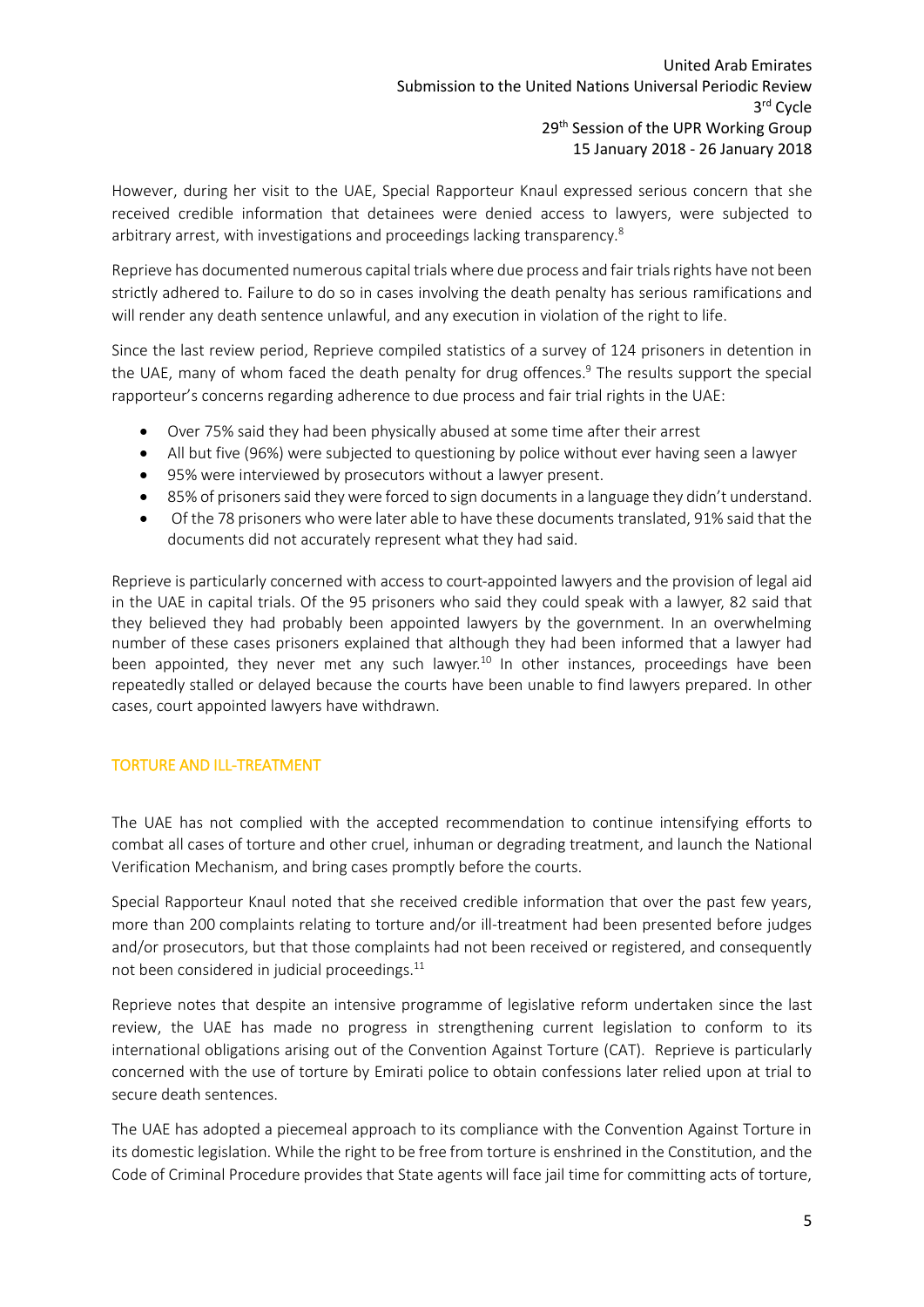However, during her visit to the UAE, Special Rapporteur Knaul expressed serious concern that she received credible information that detainees were denied access to lawyers, were subjected to arbitrary arrest, with investigations and proceedings lacking transparency.<sup>8</sup>

Reprieve has documented numerous capital trials where due process and fair trials rights have not been strictly adhered to. Failure to do so in cases involving the death penalty has serious ramifications and will render any death sentence unlawful, and any execution in violation of the right to life.

Since the last review period, Reprieve compiled statistics of a survey of 124 prisoners in detention in the UAE, many of whom faced the death penalty for drug offences. <sup>9</sup> The results support the special rapporteur's concerns regarding adherence to due process and fair trial rights in the UAE:

- Over 75% said they had been physically abused at some time after their arrest
- All but five (96%) were subjected to questioning by police without ever having seen a lawyer
- 95% were interviewed by prosecutors without a lawyer present.
- 85% of prisoners said they were forced to sign documents in a language they didn't understand.
- Of the 78 prisoners who were later able to have these documents translated, 91% said that the documents did not accurately represent what they had said.

Reprieve is particularly concerned with access to court-appointed lawyers and the provision of legal aid in the UAE in capital trials. Of the 95 prisoners who said they could speak with a lawyer, 82 said that they believed they had probably been appointed lawyers by the government. In an overwhelming number of these cases prisoners explained that although they had been informed that a lawyer had been appointed, they never met any such lawyer.<sup>10</sup> In other instances, proceedings have been repeatedly stalled or delayed because the courts have been unable to find lawyers prepared. In other cases, court appointed lawyers have withdrawn.

## <span id="page-5-0"></span>TORTURE AND ILL-TREATMENT

The UAE has not complied with the accepted recommendation to continue intensifying efforts to combat all cases of torture and other cruel, inhuman or degrading treatment, and launch the National Verification Mechanism, and bring cases promptly before the courts.

Special Rapporteur Knaul noted that she received credible information that over the past few years, more than 200 complaints relating to torture and/or ill-treatment had been presented before judges and/or prosecutors, but that those complaints had not been received or registered, and consequently not been considered in judicial proceedings. $11$ 

Reprieve notes that despite an intensive programme of legislative reform undertaken since the last review, the UAE has made no progress in strengthening current legislation to conform to its international obligations arising out of the Convention Against Torture (CAT). Reprieve is particularly concerned with the use of torture by Emirati police to obtain confessions later relied upon at trial to secure death sentences.

The UAE has adopted a piecemeal approach to its compliance with the Convention Against Torture in its domestic legislation. While the right to be free from torture is enshrined in the Constitution, and the Code of Criminal Procedure provides that State agents will face jail time for committing acts of torture,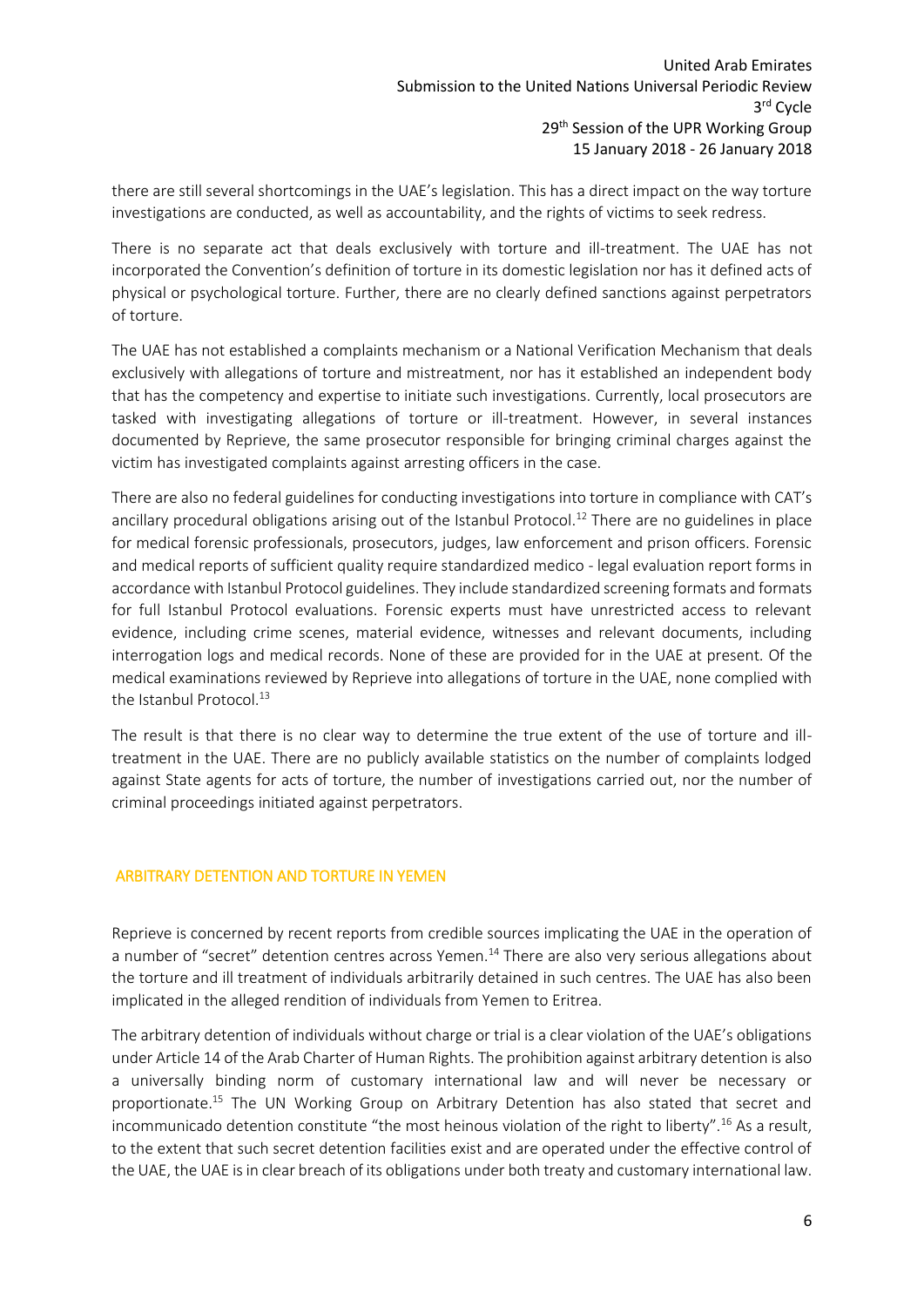there are still several shortcomings in the UAE's legislation. This has a direct impact on the way torture investigations are conducted, as well as accountability, and the rights of victims to seek redress.

There is no separate act that deals exclusively with torture and ill-treatment. The UAE has not incorporated the Convention's definition of torture in its domestic legislation nor has it defined acts of physical or psychological torture. Further, there are no clearly defined sanctions against perpetrators of torture.

The UAE has not established a complaints mechanism or a National Verification Mechanism that deals exclusively with allegations of torture and mistreatment, nor has it established an independent body that has the competency and expertise to initiate such investigations. Currently, local prosecutors are tasked with investigating allegations of torture or ill-treatment. However, in several instances documented by Reprieve, the same prosecutor responsible for bringing criminal charges against the victim has investigated complaints against arresting officers in the case.

There are also no federal guidelines for conducting investigations into torture in compliance with CAT's ancillary procedural obligations arising out of the Istanbul Protocol.<sup>12</sup> There are no guidelines in place for medical forensic professionals, prosecutors, judges, law enforcement and prison officers. Forensic and medical reports of sufficient quality require standardized medico - legal evaluation report forms in accordance with Istanbul Protocol guidelines. They include standardized screening formats and formats for full Istanbul Protocol evaluations. Forensic experts must have unrestricted access to relevant evidence, including crime scenes, material evidence, witnesses and relevant documents, including interrogation logs and medical records. None of these are provided for in the UAE at present. Of the medical examinations reviewed by Reprieve into allegations of torture in the UAE, none complied with the Istanbul Protocol.<sup>13</sup>

The result is that there is no clear way to determine the true extent of the use of torture and illtreatment in the UAE. There are no publicly available statistics on the number of complaints lodged against State agents for acts of torture, the number of investigations carried out, nor the number of criminal proceedings initiated against perpetrators.

#### <span id="page-6-0"></span>ARBITRARY DETENTION AND TORTURE IN YEMEN

Reprieve is concerned by recent reports from credible sources implicating the UAE in the operation of a number of "secret" detention centres across Yemen.<sup>14</sup> There are also very serious allegations about the torture and ill treatment of individuals arbitrarily detained in such centres. The UAE has also been implicated in the alleged rendition of individuals from Yemen to Eritrea.

The arbitrary detention of individuals without charge or trial is a clear violation of the UAE's obligations under Article 14 of the Arab Charter of Human Rights. The prohibition against arbitrary detention is also a universally binding norm of customary international law and will never be necessary or proportionate.<sup>15</sup> The UN Working Group on Arbitrary Detention has also stated that secret and incommunicado detention constitute "the most heinous violation of the right to liberty".<sup>16</sup> As a result, to the extent that such secret detention facilities exist and are operated under the effective control of the UAE, the UAE is in clear breach of its obligations under both treaty and customary international law.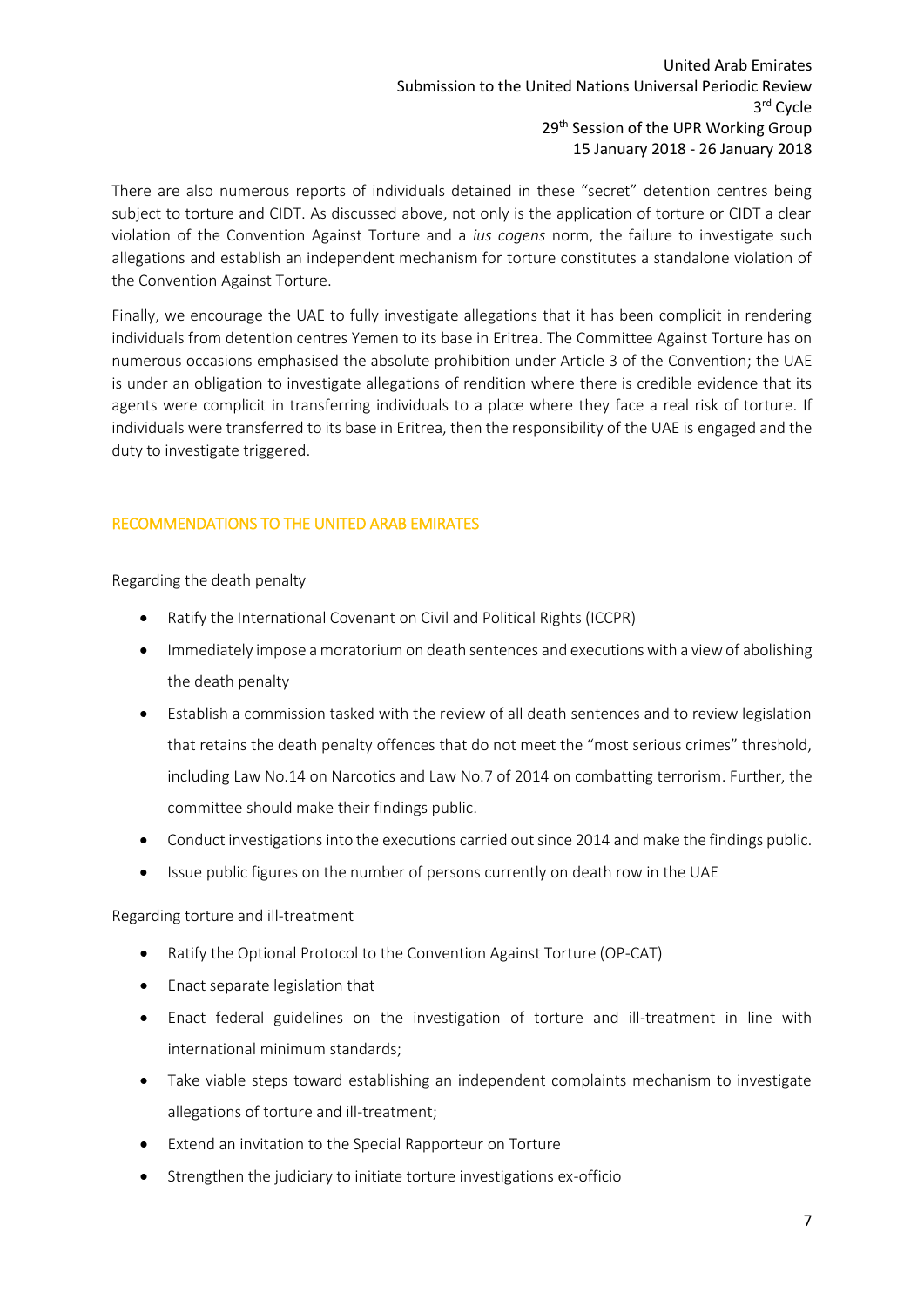#### United Arab Emirates Submission to the United Nations Universal Periodic Review 3 rd Cycle 29<sup>th</sup> Session of the UPR Working Group 15 January 2018 - 26 January 2018

There are also numerous reports of individuals detained in these "secret" detention centres being subject to torture and CIDT. As discussed above, not only is the application of torture or CIDT a clear violation of the Convention Against Torture and a *ius cogens* norm, the failure to investigate such allegations and establish an independent mechanism for torture constitutes a standalone violation of the Convention Against Torture.

Finally, we encourage the UAE to fully investigate allegations that it has been complicit in rendering individuals from detention centres Yemen to its base in Eritrea. The Committee Against Torture has on numerous occasions emphasised the absolute prohibition under Article 3 of the Convention; the UAE is under an obligation to investigate allegations of rendition where there is credible evidence that its agents were complicit in transferring individuals to a place where they face a real risk of torture. If individuals were transferred to its base in Eritrea, then the responsibility of the UAE is engaged and the duty to investigate triggered.

## <span id="page-7-0"></span>RECOMMENDATIONS TO THE UNITED ARAB EMIRATES

Regarding the death penalty

- Ratify the International Covenant on Civil and Political Rights (ICCPR)
- Immediately impose a moratorium on death sentences and executions with a view of abolishing the death penalty
- Establish a commission tasked with the review of all death sentences and to review legislation that retains the death penalty offences that do not meet the "most serious crimes" threshold, including Law No.14 on Narcotics and Law No.7 of 2014 on combatting terrorism. Further, the committee should make their findings public.
- Conduct investigations into the executions carried out since 2014 and make the findings public.
- Issue public figures on the number of persons currently on death row in the UAE

## Regarding torture and ill-treatment

- Ratify the Optional Protocol to the Convention Against Torture (OP-CAT)
- Enact separate legislation that
- Enact federal guidelines on the investigation of torture and ill-treatment in line with international minimum standards;
- Take viable steps toward establishing an independent complaints mechanism to investigate allegations of torture and ill-treatment;
- Extend an invitation to the Special Rapporteur on Torture
- Strengthen the judiciary to initiate torture investigations ex-officio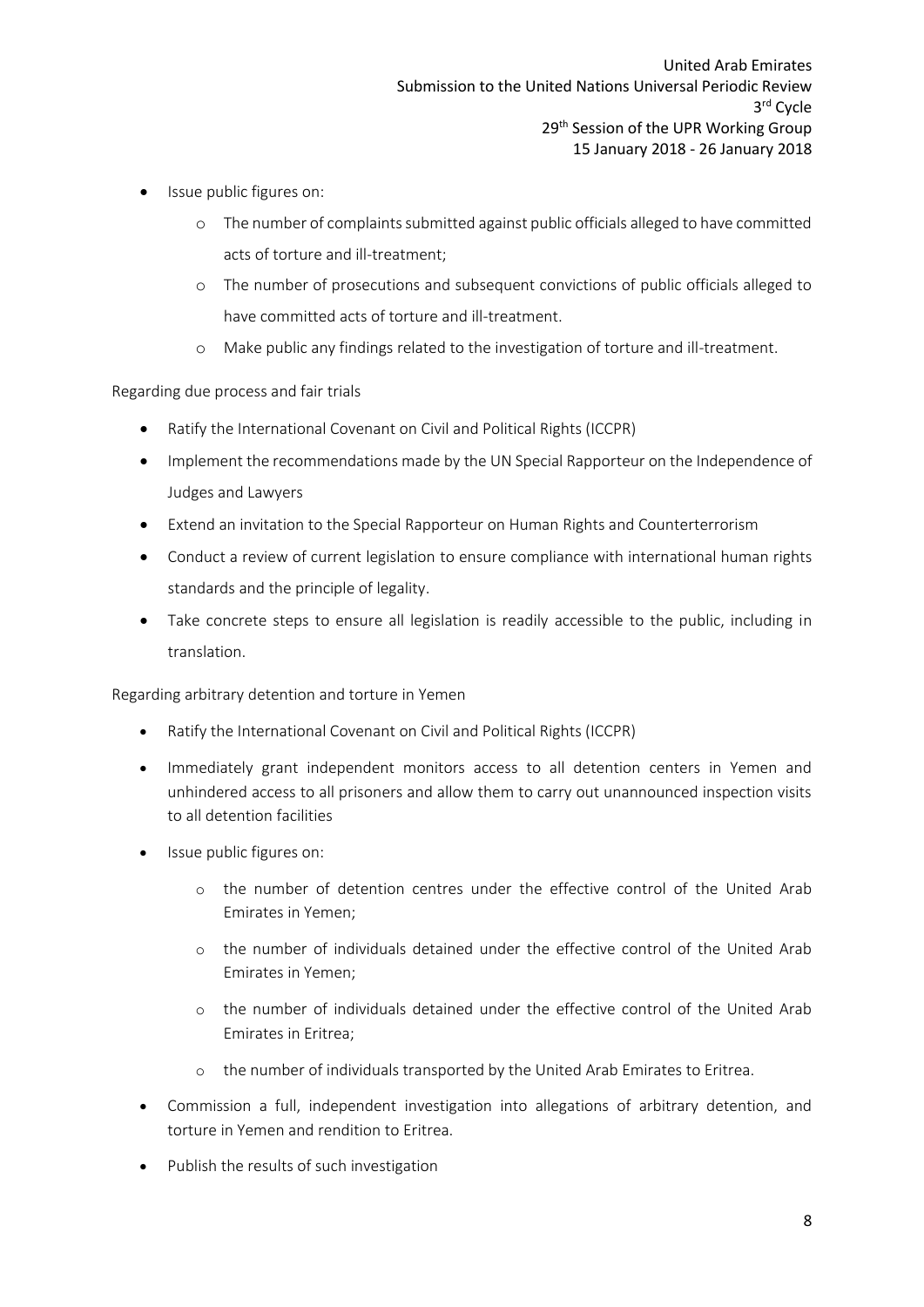- Issue public figures on:
	- o The number of complaints submitted against public officials alleged to have committed acts of torture and ill-treatment;
	- o The number of prosecutions and subsequent convictions of public officials alleged to have committed acts of torture and ill-treatment.
	- o Make public any findings related to the investigation of torture and ill-treatment.

Regarding due process and fair trials

- Ratify the International Covenant on Civil and Political Rights (ICCPR)
- Implement the recommendations made by the UN Special Rapporteur on the Independence of Judges and Lawyers
- Extend an invitation to the Special Rapporteur on Human Rights and Counterterrorism
- Conduct a review of current legislation to ensure compliance with international human rights standards and the principle of legality.
- Take concrete steps to ensure all legislation is readily accessible to the public, including in translation.

Regarding arbitrary detention and torture in Yemen

- Ratify the International Covenant on Civil and Political Rights (ICCPR)
- Immediately grant independent monitors access to all detention centers in Yemen and unhindered access to all prisoners and allow them to carry out unannounced inspection visits to all detention facilities
- Issue public figures on:
	- o the number of detention centres under the effective control of the United Arab Emirates in Yemen;
	- o the number of individuals detained under the effective control of the United Arab Emirates in Yemen;
	- o the number of individuals detained under the effective control of the United Arab Emirates in Eritrea;
	- o the number of individuals transported by the United Arab Emirates to Eritrea.
- Commission a full, independent investigation into allegations of arbitrary detention, and torture in Yemen and rendition to Eritrea.
- Publish the results of such investigation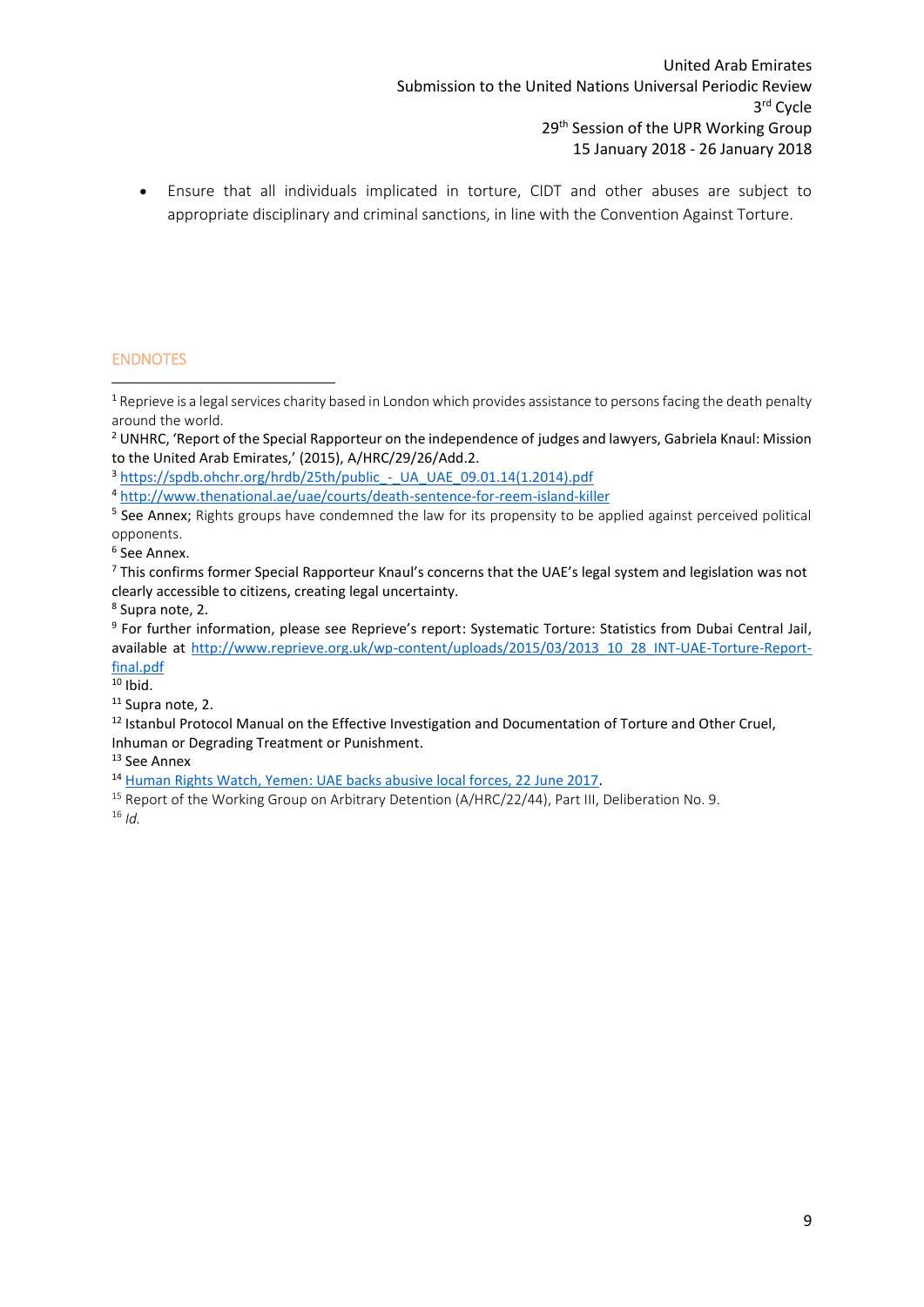Ensure that all individuals implicated in torture, CIDT and other abuses are subject to appropriate disciplinary and criminal sanctions, in line with the Convention Against Torture.

## <span id="page-9-0"></span>ENDNOTES

**.** 

<sup>3</sup> https://spdb.ohchr.org/hrdb/25th/public - UA\_UAE\_09.01.14(1.2014).pdf

8 Supra note, 2.

 $10$  Ibid.

<sup>11</sup> Supra note, 2.

<sup>13</sup> See Annex

<sup>14</sup> Human [Rights Watch, Yemen: UAE backs abusive local forces, 22 June 2017.](https://www.hrw.org/news/2017/06/22/yemen-uae-backs-abusive-local-forces)

 $1$  Reprieve is a legal services charity based in London which provides assistance to persons facing the death penalty around the world.

<sup>&</sup>lt;sup>2</sup> UNHRC, 'Report of the Special Rapporteur on the independence of judges and lawyers, Gabriela Knaul: Mission to the United Arab Emirates,' (2015), A/HRC/29/26/Add.2.

<sup>4</sup> <http://www.thenational.ae/uae/courts/death-sentence-for-reem-island-killer>

<sup>&</sup>lt;sup>5</sup> See Annex; Rights groups have condemned the law for its propensity to be applied against perceived political opponents.

<sup>6</sup> See Annex.

<sup>&</sup>lt;sup>7</sup> This confirms former Special Rapporteur Knaul's concerns that the UAE's legal system and legislation was not clearly accessible to citizens, creating legal uncertainty.

<sup>9</sup> For further information, please see Reprieve's report: Systematic Torture: Statistics from Dubai Central Jail, available at [http://www.reprieve.org.uk/wp-content/uploads/2015/03/2013\\_10\\_28\\_INT-UAE-Torture-Report](http://www.reprieve.org.uk/wp-content/uploads/2015/03/2013_10_28_INT-UAE-Torture-Report-final.pdf)[final.pdf](http://www.reprieve.org.uk/wp-content/uploads/2015/03/2013_10_28_INT-UAE-Torture-Report-final.pdf)

<sup>&</sup>lt;sup>12</sup> Istanbul Protocol Manual on the Effective Investigation and Documentation of Torture and Other Cruel, Inhuman or Degrading Treatment or Punishment.

<sup>&</sup>lt;sup>15</sup> Report of the Working Group on Arbitrary Detention (A/HRC/22/44), Part III, Deliberation No. 9. <sup>16</sup> *Id.*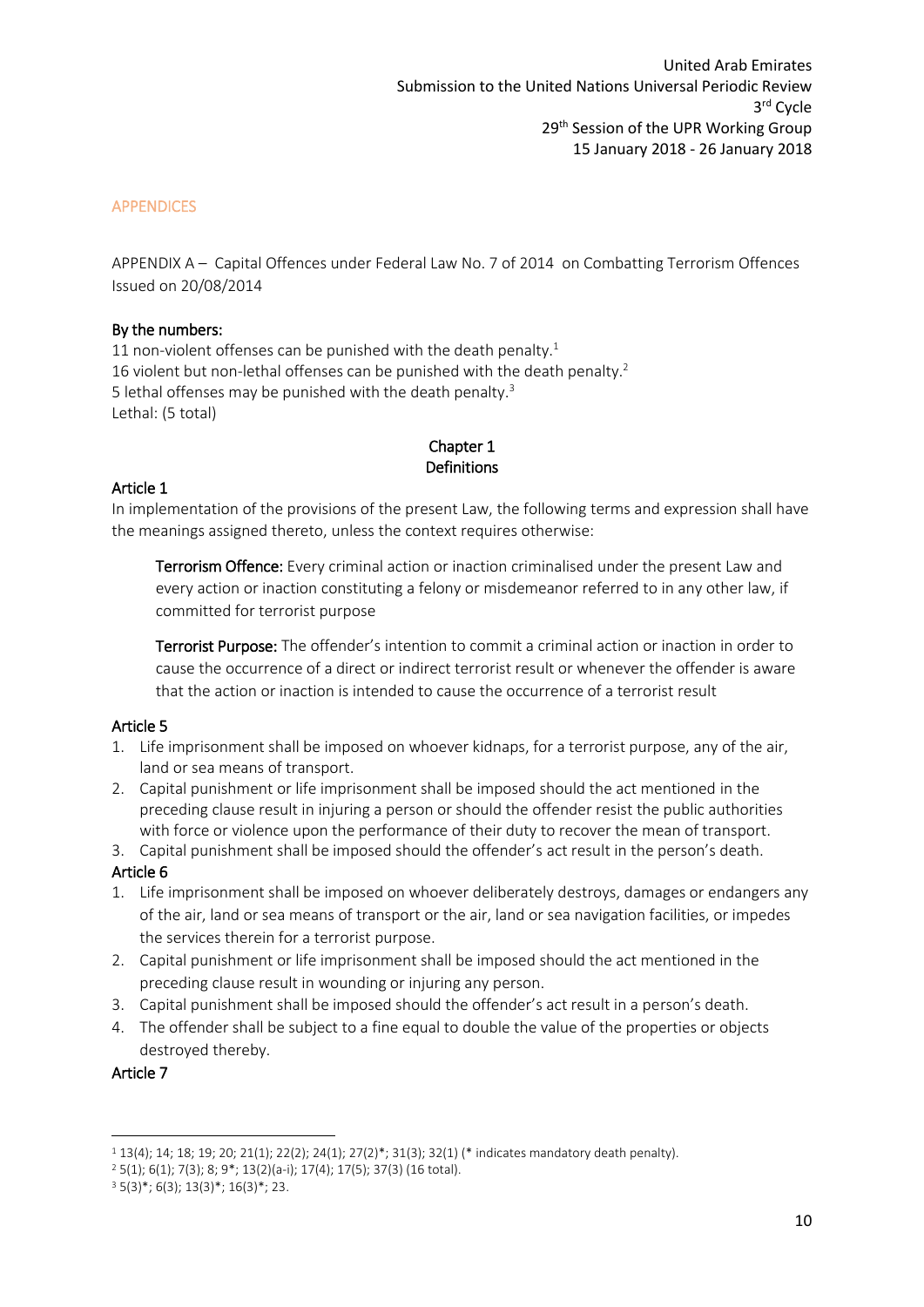#### <span id="page-10-0"></span>APPENDICES

<span id="page-10-1"></span>APPENDIX A – Capital Offences under Federal Law No. 7 of 2014 on Combatting Terrorism Offences Issued on 20/08/2014

#### By the numbers:

11 non-violent offenses can be punished with the death penalty.<sup>1</sup> 16 violent but non-lethal offenses can be punished with the death penalty.<sup>2</sup> 5 lethal offenses may be punished with the death penalty.<sup>3</sup> Lethal: (5 total)

# Chapter 1 Definitions

## Article 1

In implementation of the provisions of the present Law, the following terms and expression shall have the meanings assigned thereto, unless the context requires otherwise:

Terrorism Offence: Every criminal action or inaction criminalised under the present Law and every action or inaction constituting a felony or misdemeanor referred to in any other law, if committed for terrorist purpose

Terrorist Purpose: The offender's intention to commit a criminal action or inaction in order to cause the occurrence of a direct or indirect terrorist result or whenever the offender is aware that the action or inaction is intended to cause the occurrence of a terrorist result

## Article 5

- 1. Life imprisonment shall be imposed on whoever kidnaps, for a terrorist purpose, any of the air, land or sea means of transport.
- 2. Capital punishment or life imprisonment shall be imposed should the act mentioned in the preceding clause result in injuring a person or should the offender resist the public authorities with force or violence upon the performance of their duty to recover the mean of transport.

3. Capital punishment shall be imposed should the offender's act result in the person's death.

#### Article 6

- 1. Life imprisonment shall be imposed on whoever deliberately destroys, damages or endangers any of the air, land or sea means of transport or the air, land or sea navigation facilities, or impedes the services therein for a terrorist purpose.
- 2. Capital punishment or life imprisonment shall be imposed should the act mentioned in the preceding clause result in wounding or injuring any person.
- 3. Capital punishment shall be imposed should the offender's act result in a person's death.
- 4. The offender shall be subject to a fine equal to double the value of the properties or objects destroyed thereby.

#### Article 7

**.** 

<sup>1</sup> 13(4); 14; 18; 19; 20; 21(1); 22(2); 24(1); 27(2)\*; 31(3); 32(1) (\* indicates mandatory death penalty).

<sup>2</sup> 5(1); 6(1); 7(3); 8; 9\*; 13(2)(a-i); 17(4); 17(5); 37(3) (16 total).

 $3\ 5(3)^{*}; 6(3); 13(3)^{*}; 16(3)^{*}; 23.$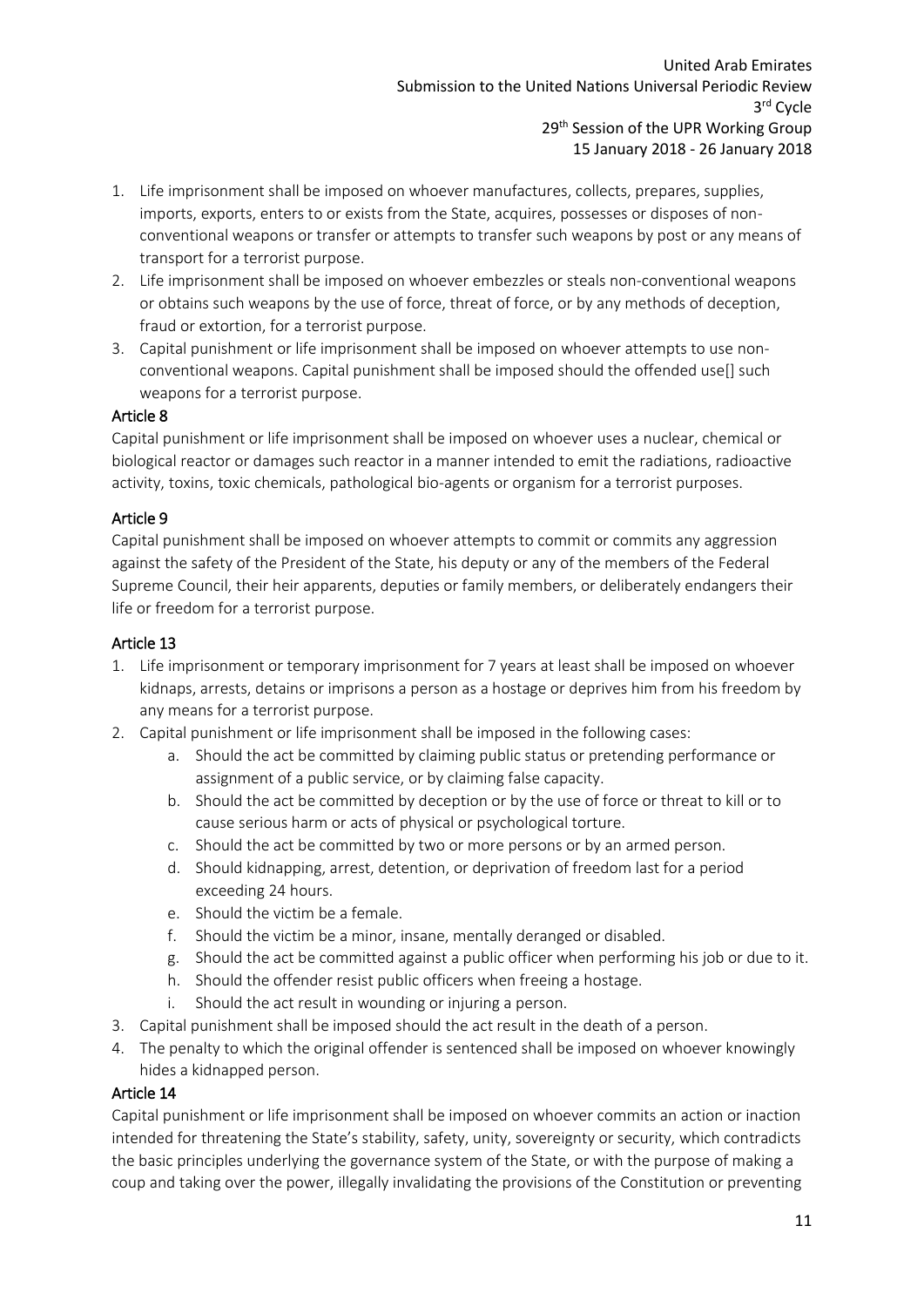- 1. Life imprisonment shall be imposed on whoever manufactures, collects, prepares, supplies, imports, exports, enters to or exists from the State, acquires, possesses or disposes of nonconventional weapons or transfer or attempts to transfer such weapons by post or any means of transport for a terrorist purpose.
- 2. Life imprisonment shall be imposed on whoever embezzles or steals non-conventional weapons or obtains such weapons by the use of force, threat of force, or by any methods of deception, fraud or extortion, for a terrorist purpose.
- 3. Capital punishment or life imprisonment shall be imposed on whoever attempts to use nonconventional weapons. Capital punishment shall be imposed should the offended use[] such weapons for a terrorist purpose.

## Article 8

Capital punishment or life imprisonment shall be imposed on whoever uses a nuclear, chemical or biological reactor or damages such reactor in a manner intended to emit the radiations, radioactive activity, toxins, toxic chemicals, pathological bio-agents or organism for a terrorist purposes.

## Article 9

Capital punishment shall be imposed on whoever attempts to commit or commits any aggression against the safety of the President of the State, his deputy or any of the members of the Federal Supreme Council, their heir apparents, deputies or family members, or deliberately endangers their life or freedom for a terrorist purpose.

#### Article 13

- 1. Life imprisonment or temporary imprisonment for 7 years at least shall be imposed on whoever kidnaps, arrests, detains or imprisons a person as a hostage or deprives him from his freedom by any means for a terrorist purpose.
- 2. Capital punishment or life imprisonment shall be imposed in the following cases:
	- a. Should the act be committed by claiming public status or pretending performance or assignment of a public service, or by claiming false capacity.
	- b. Should the act be committed by deception or by the use of force or threat to kill or to cause serious harm or acts of physical or psychological torture.
	- c. Should the act be committed by two or more persons or by an armed person.
	- d. Should kidnapping, arrest, detention, or deprivation of freedom last for a period exceeding 24 hours.
	- e. Should the victim be a female.
	- f. Should the victim be a minor, insane, mentally deranged or disabled.
	- g. Should the act be committed against a public officer when performing his job or due to it.
	- h. Should the offender resist public officers when freeing a hostage.
	- i. Should the act result in wounding or injuring a person.
- 3. Capital punishment shall be imposed should the act result in the death of a person.
- 4. The penalty to which the original offender is sentenced shall be imposed on whoever knowingly hides a kidnapped person.

#### Article 14

Capital punishment or life imprisonment shall be imposed on whoever commits an action or inaction intended for threatening the State's stability, safety, unity, sovereignty or security, which contradicts the basic principles underlying the governance system of the State, or with the purpose of making a coup and taking over the power, illegally invalidating the provisions of the Constitution or preventing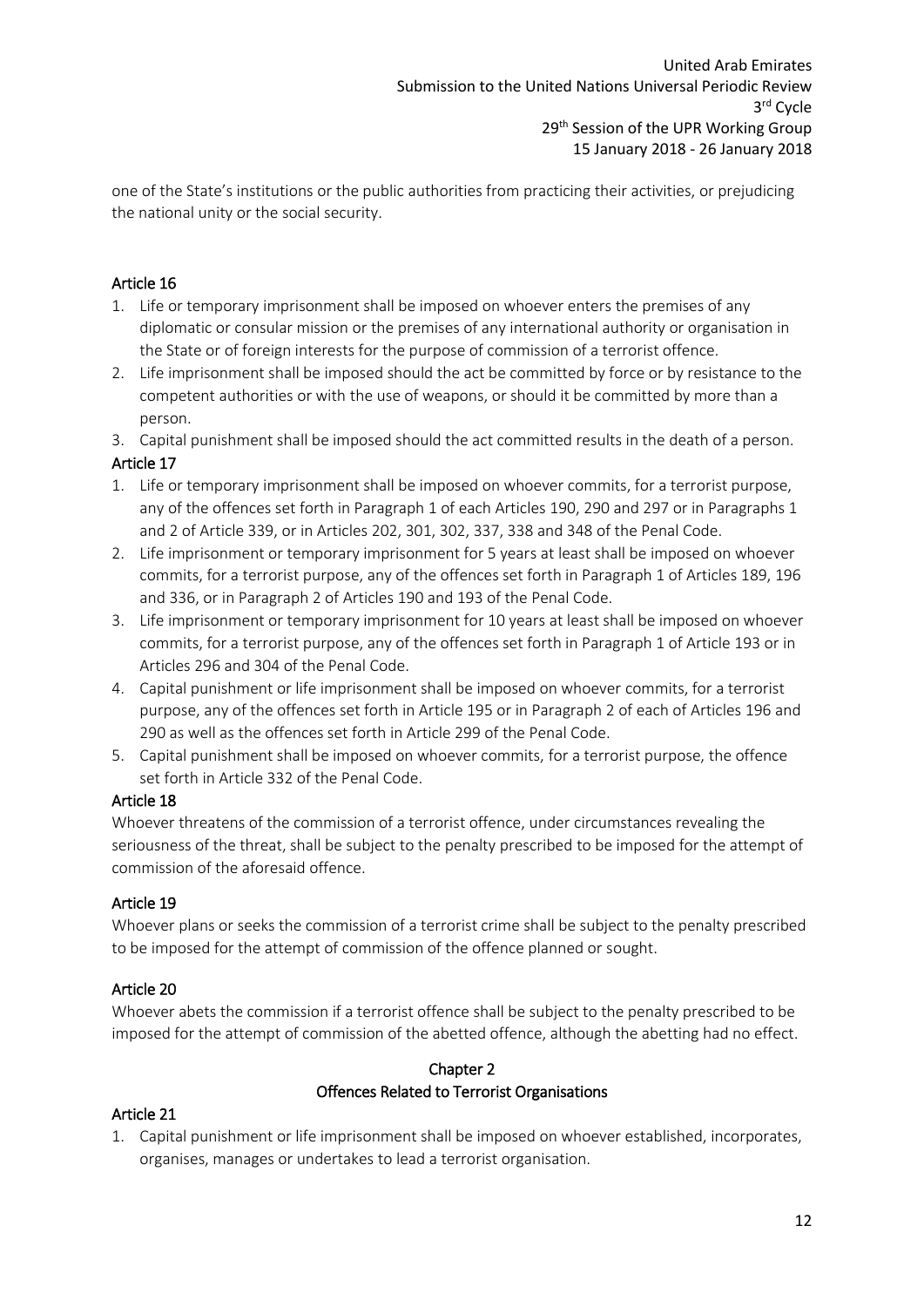one of the State's institutions or the public authorities from practicing their activities, or prejudicing the national unity or the social security.

# Article 16

- 1. Life or temporary imprisonment shall be imposed on whoever enters the premises of any diplomatic or consular mission or the premises of any international authority or organisation in the State or of foreign interests for the purpose of commission of a terrorist offence.
- 2. Life imprisonment shall be imposed should the act be committed by force or by resistance to the competent authorities or with the use of weapons, or should it be committed by more than a person.
- 3. Capital punishment shall be imposed should the act committed results in the death of a person.

## Article 17

- 1. Life or temporary imprisonment shall be imposed on whoever commits, for a terrorist purpose, any of the offences set forth in Paragraph 1 of each Articles 190, 290 and 297 or in Paragraphs 1 and 2 of Article 339, or in Articles 202, 301, 302, 337, 338 and 348 of the Penal Code.
- 2. Life imprisonment or temporary imprisonment for 5 years at least shall be imposed on whoever commits, for a terrorist purpose, any of the offences set forth in Paragraph 1 of Articles 189, 196 and 336, or in Paragraph 2 of Articles 190 and 193 of the Penal Code.
- 3. Life imprisonment or temporary imprisonment for 10 years at least shall be imposed on whoever commits, for a terrorist purpose, any of the offences set forth in Paragraph 1 of Article 193 or in Articles 296 and 304 of the Penal Code.
- 4. Capital punishment or life imprisonment shall be imposed on whoever commits, for a terrorist purpose, any of the offences set forth in Article 195 or in Paragraph 2 of each of Articles 196 and 290 as well as the offences set forth in Article 299 of the Penal Code.
- 5. Capital punishment shall be imposed on whoever commits, for a terrorist purpose, the offence set forth in Article 332 of the Penal Code.

## Article 18

Whoever threatens of the commission of a terrorist offence, under circumstances revealing the seriousness of the threat, shall be subject to the penalty prescribed to be imposed for the attempt of commission of the aforesaid offence.

## Article 19

Whoever plans or seeks the commission of a terrorist crime shall be subject to the penalty prescribed to be imposed for the attempt of commission of the offence planned or sought.

## Article 20

Whoever abets the commission if a terrorist offence shall be subject to the penalty prescribed to be imposed for the attempt of commission of the abetted offence, although the abetting had no effect.

## Chapter 2 Offences Related to Terrorist Organisations

## Article 21

1. Capital punishment or life imprisonment shall be imposed on whoever established, incorporates, organises, manages or undertakes to lead a terrorist organisation.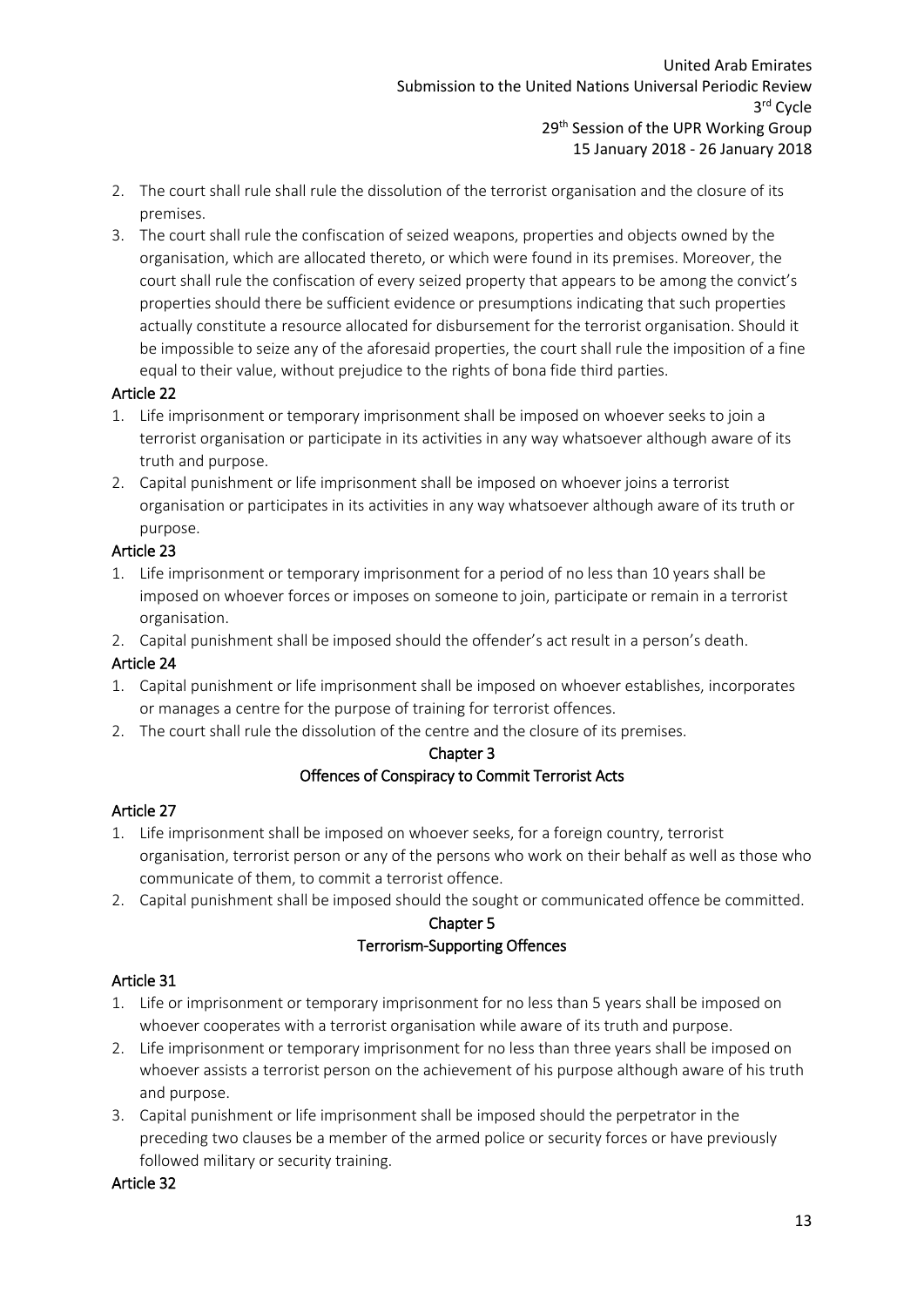- 2. The court shall rule shall rule the dissolution of the terrorist organisation and the closure of its premises.
- 3. The court shall rule the confiscation of seized weapons, properties and objects owned by the organisation, which are allocated thereto, or which were found in its premises. Moreover, the court shall rule the confiscation of every seized property that appears to be among the convict's properties should there be sufficient evidence or presumptions indicating that such properties actually constitute a resource allocated for disbursement for the terrorist organisation. Should it be impossible to seize any of the aforesaid properties, the court shall rule the imposition of a fine equal to their value, without prejudice to the rights of bona fide third parties.

## Article 22

- 1. Life imprisonment or temporary imprisonment shall be imposed on whoever seeks to join a terrorist organisation or participate in its activities in any way whatsoever although aware of its truth and purpose.
- 2. Capital punishment or life imprisonment shall be imposed on whoever joins a terrorist organisation or participates in its activities in any way whatsoever although aware of its truth or purpose.

## Article 23

- 1. Life imprisonment or temporary imprisonment for a period of no less than 10 years shall be imposed on whoever forces or imposes on someone to join, participate or remain in a terrorist organisation.
- 2. Capital punishment shall be imposed should the offender's act result in a person's death.

# Article 24

- 1. Capital punishment or life imprisonment shall be imposed on whoever establishes, incorporates or manages a centre for the purpose of training for terrorist offences.
- 2. The court shall rule the dissolution of the centre and the closure of its premises.

## Chapter 3

## Offences of Conspiracy to Commit Terrorist Acts

# Article 27

- 1. Life imprisonment shall be imposed on whoever seeks, for a foreign country, terrorist organisation, terrorist person or any of the persons who work on their behalf as well as those who communicate of them, to commit a terrorist offence.
- 2. Capital punishment shall be imposed should the sought or communicated offence be committed.

# Chapter 5 Terrorism-Supporting Offences

# Article 31

- 1. Life or imprisonment or temporary imprisonment for no less than 5 years shall be imposed on whoever cooperates with a terrorist organisation while aware of its truth and purpose.
- 2. Life imprisonment or temporary imprisonment for no less than three years shall be imposed on whoever assists a terrorist person on the achievement of his purpose although aware of his truth and purpose.
- 3. Capital punishment or life imprisonment shall be imposed should the perpetrator in the preceding two clauses be a member of the armed police or security forces or have previously followed military or security training.

## Article 32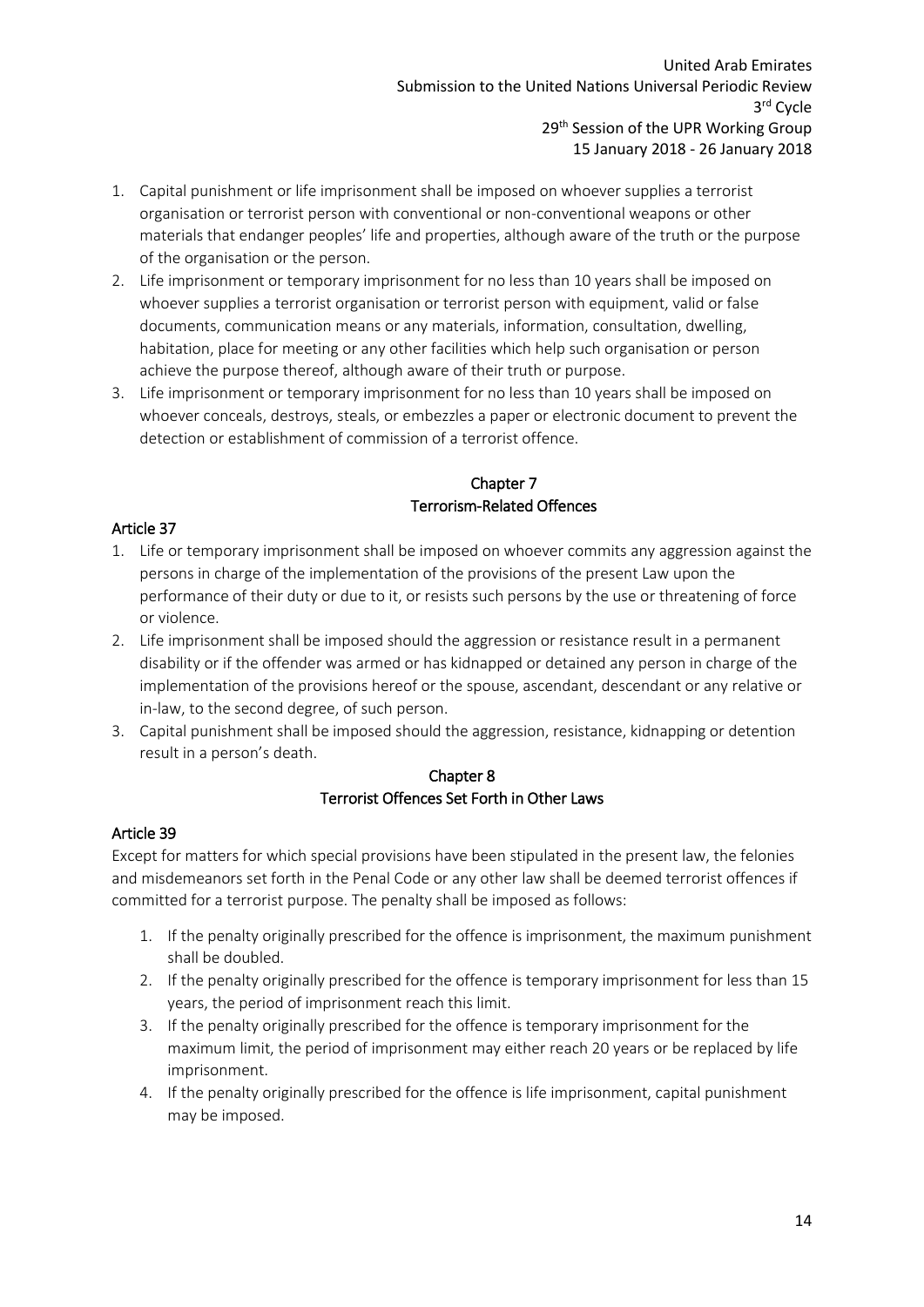- 1. Capital punishment or life imprisonment shall be imposed on whoever supplies a terrorist organisation or terrorist person with conventional or non-conventional weapons or other materials that endanger peoples' life and properties, although aware of the truth or the purpose of the organisation or the person.
- 2. Life imprisonment or temporary imprisonment for no less than 10 years shall be imposed on whoever supplies a terrorist organisation or terrorist person with equipment, valid or false documents, communication means or any materials, information, consultation, dwelling, habitation, place for meeting or any other facilities which help such organisation or person achieve the purpose thereof, although aware of their truth or purpose.
- 3. Life imprisonment or temporary imprisonment for no less than 10 years shall be imposed on whoever conceals, destroys, steals, or embezzles a paper or electronic document to prevent the detection or establishment of commission of a terrorist offence.

# Chapter 7 Terrorism-Related Offences

## Article 37

- 1. Life or temporary imprisonment shall be imposed on whoever commits any aggression against the persons in charge of the implementation of the provisions of the present Law upon the performance of their duty or due to it, or resists such persons by the use or threatening of force or violence.
- 2. Life imprisonment shall be imposed should the aggression or resistance result in a permanent disability or if the offender was armed or has kidnapped or detained any person in charge of the implementation of the provisions hereof or the spouse, ascendant, descendant or any relative or in-law, to the second degree, of such person.
- 3. Capital punishment shall be imposed should the aggression, resistance, kidnapping or detention result in a person's death.

## Chapter 8 Terrorist Offences Set Forth in Other Laws

## Article 39

Except for matters for which special provisions have been stipulated in the present law, the felonies and misdemeanors set forth in the Penal Code or any other law shall be deemed terrorist offences if committed for a terrorist purpose. The penalty shall be imposed as follows:

- 1. If the penalty originally prescribed for the offence is imprisonment, the maximum punishment shall be doubled.
- 2. If the penalty originally prescribed for the offence is temporary imprisonment for less than 15 years, the period of imprisonment reach this limit.
- 3. If the penalty originally prescribed for the offence is temporary imprisonment for the maximum limit, the period of imprisonment may either reach 20 years or be replaced by life imprisonment.
- 4. If the penalty originally prescribed for the offence is life imprisonment, capital punishment may be imposed.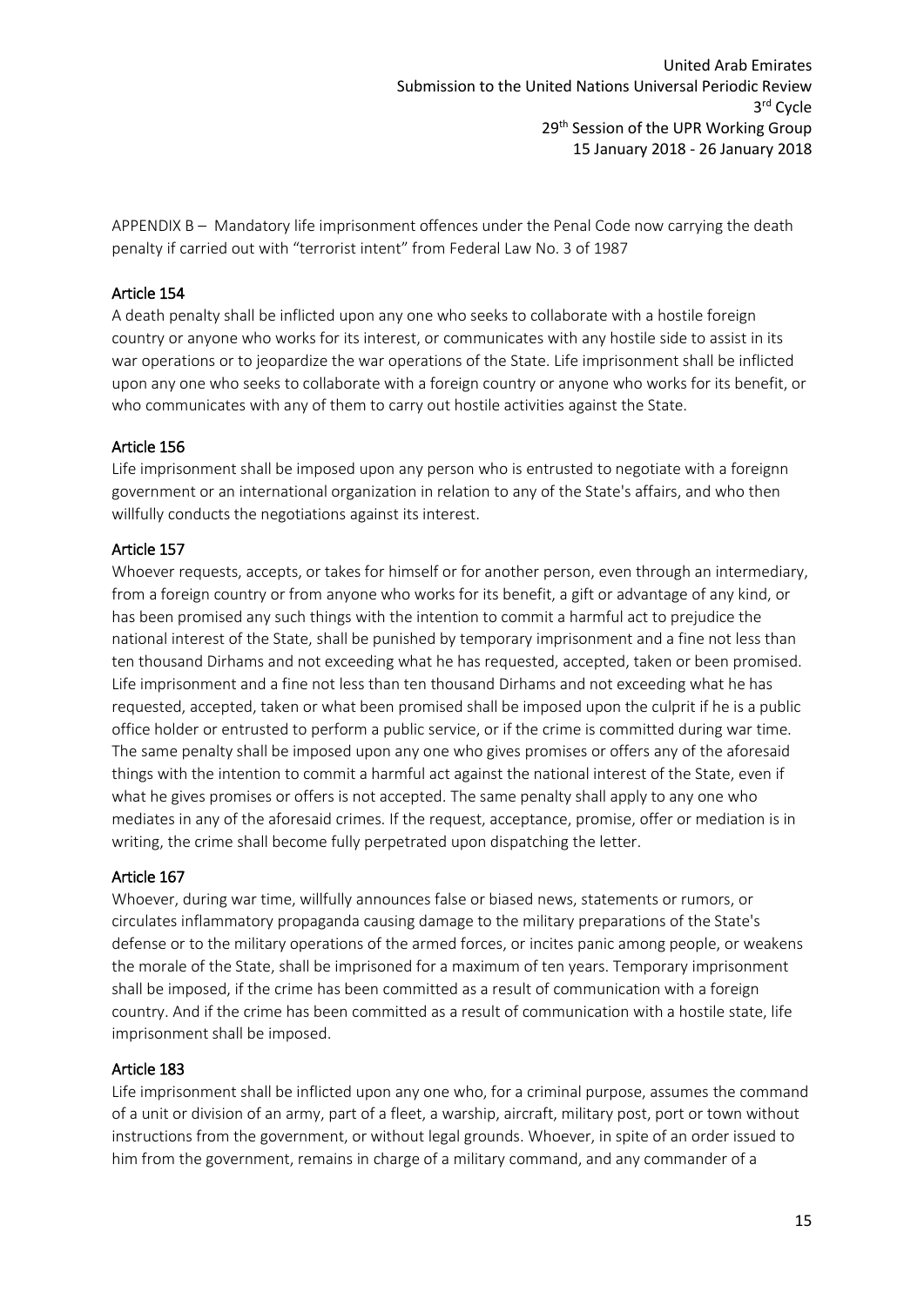United Arab Emirates Submission to the United Nations Universal Periodic Review 3 rd Cycle 29<sup>th</sup> Session of the UPR Working Group 15 January 2018 - 26 January 2018

<span id="page-15-0"></span>APPENDIX B – Mandatory life imprisonment offences under the Penal Code now carrying the death penalty if carried out with "terrorist intent" from Federal Law No. 3 of 1987

#### Article 154

A death penalty shall be inflicted upon any one who seeks to collaborate with a hostile foreign country or anyone who works for its interest, or communicates with any hostile side to assist in its war operations or to jeopardize the war operations of the State. Life imprisonment shall be inflicted upon any one who seeks to collaborate with a foreign country or anyone who works for its benefit, or who communicates with any of them to carry out hostile activities against the State.

#### Article 156

Life imprisonment shall be imposed upon any person who is entrusted to negotiate with a foreignn government or an international organization in relation to any of the State's affairs, and who then willfully conducts the negotiations against its interest.

#### Article 157

Whoever requests, accepts, or takes for himself or for another person, even through an intermediary, from a foreign country or from anyone who works for its benefit, a gift or advantage of any kind, or has been promised any such things with the intention to commit a harmful act to prejudice the national interest of the State, shall be punished by temporary imprisonment and a fine not less than ten thousand Dirhams and not exceeding what he has requested, accepted, taken or been promised. Life imprisonment and a fine not less than ten thousand Dirhams and not exceeding what he has requested, accepted, taken or what been promised shall be imposed upon the culprit if he is a public office holder or entrusted to perform a public service, or if the crime is committed during war time. The same penalty shall be imposed upon any one who gives promises or offers any of the aforesaid things with the intention to commit a harmful act against the national interest of the State, even if what he gives promises or offers is not accepted. The same penalty shall apply to any one who mediates in any of the aforesaid crimes. If the request, acceptance, promise, offer or mediation is in writing, the crime shall become fully perpetrated upon dispatching the letter.

#### Article 167

Whoever, during war time, willfully announces false or biased news, statements or rumors, or circulates inflammatory propaganda causing damage to the military preparations of the State's defense or to the military operations of the armed forces, or incites panic among people, or weakens the morale of the State, shall be imprisoned for a maximum of ten years. Temporary imprisonment shall be imposed, if the crime has been committed as a result of communication with a foreign country. And if the crime has been committed as a result of communication with a hostile state, life imprisonment shall be imposed.

#### Article 183

Life imprisonment shall be inflicted upon any one who, for a criminal purpose, assumes the command of a unit or division of an army, part of a fleet, a warship, aircraft, military post, port or town without instructions from the government, or without legal grounds. Whoever, in spite of an order issued to him from the government, remains in charge of a military command, and any commander of a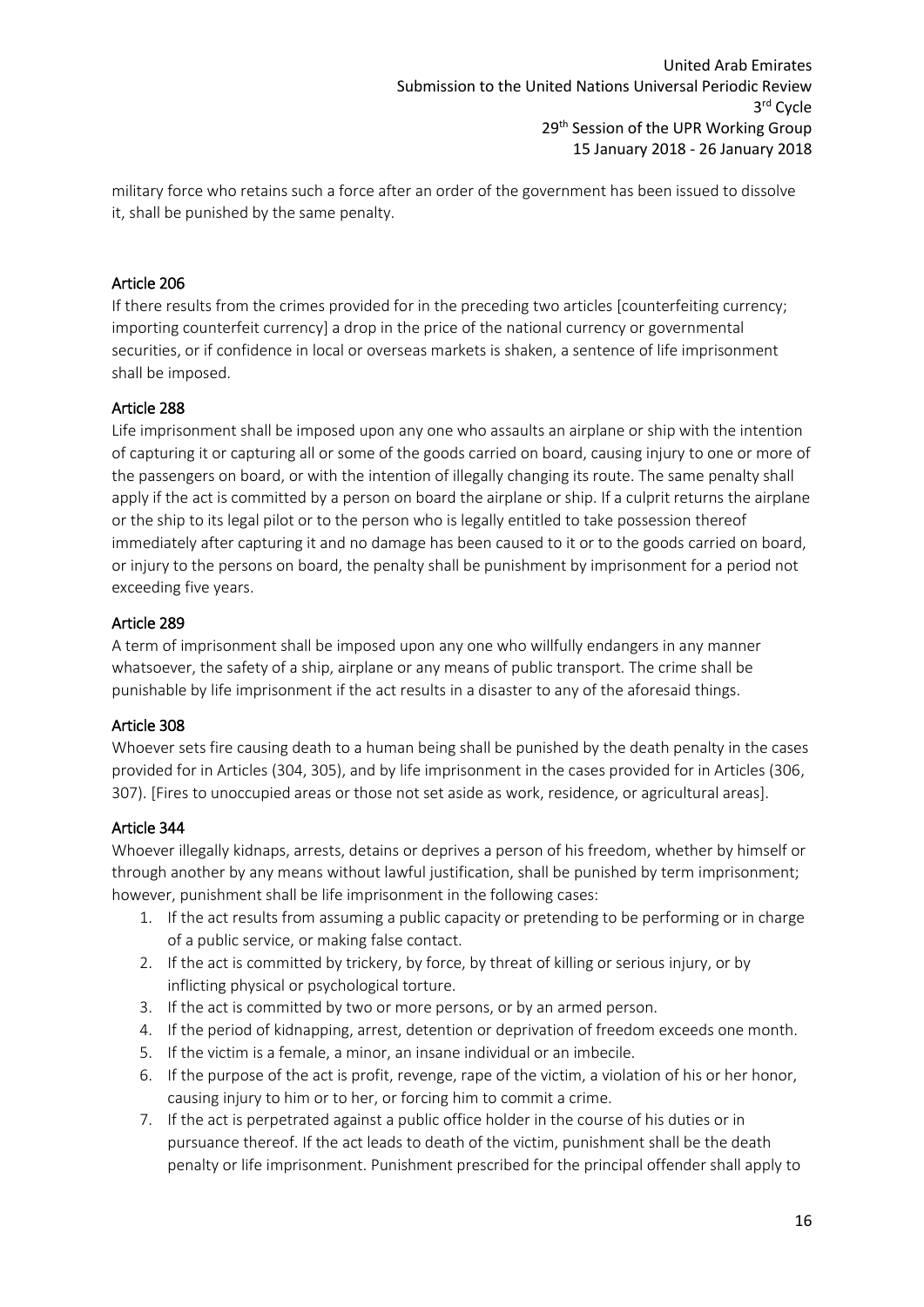military force who retains such a force after an order of the government has been issued to dissolve it, shall be punished by the same penalty.

## Article 206

If there results from the crimes provided for in the preceding two articles [counterfeiting currency; importing counterfeit currency] a drop in the price of the national currency or governmental securities, or if confidence in local or overseas markets is shaken, a sentence of life imprisonment shall be imposed.

## Article 288

Life imprisonment shall be imposed upon any one who assaults an airplane or ship with the intention of capturing it or capturing all or some of the goods carried on board, causing injury to one or more of the passengers on board, or with the intention of illegally changing its route. The same penalty shall apply if the act is committed by a person on board the airplane or ship. If a culprit returns the airplane or the ship to its legal pilot or to the person who is legally entitled to take possession thereof immediately after capturing it and no damage has been caused to it or to the goods carried on board, or injury to the persons on board, the penalty shall be punishment by imprisonment for a period not exceeding five years.

## Article 289

A term of imprisonment shall be imposed upon any one who willfully endangers in any manner whatsoever, the safety of a ship, airplane or any means of public transport. The crime shall be punishable by life imprisonment if the act results in a disaster to any of the aforesaid things.

## Article 308

Whoever sets fire causing death to a human being shall be punished by the death penalty in the cases provided for in Articles (304, 305), and by life imprisonment in the cases provided for in Articles (306, 307). [Fires to unoccupied areas or those not set aside as work, residence, or agricultural areas].

## Article 344

Whoever illegally kidnaps, arrests, detains or deprives a person of his freedom, whether by himself or through another by any means without lawful justification, shall be punished by term imprisonment; however, punishment shall be life imprisonment in the following cases:

- 1. If the act results from assuming a public capacity or pretending to be performing or in charge of a public service, or making false contact.
- 2. If the act is committed by trickery, by force, by threat of killing or serious injury, or by inflicting physical or psychological torture.
- 3. If the act is committed by two or more persons, or by an armed person.
- 4. If the period of kidnapping, arrest, detention or deprivation of freedom exceeds one month.
- 5. If the victim is a female, a minor, an insane individual or an imbecile.
- 6. If the purpose of the act is profit, revenge, rape of the victim, a violation of his or her honor, causing injury to him or to her, or forcing him to commit a crime.
- 7. If the act is perpetrated against a public office holder in the course of his duties or in pursuance thereof. If the act leads to death of the victim, punishment shall be the death penalty or life imprisonment. Punishment prescribed for the principal offender shall apply to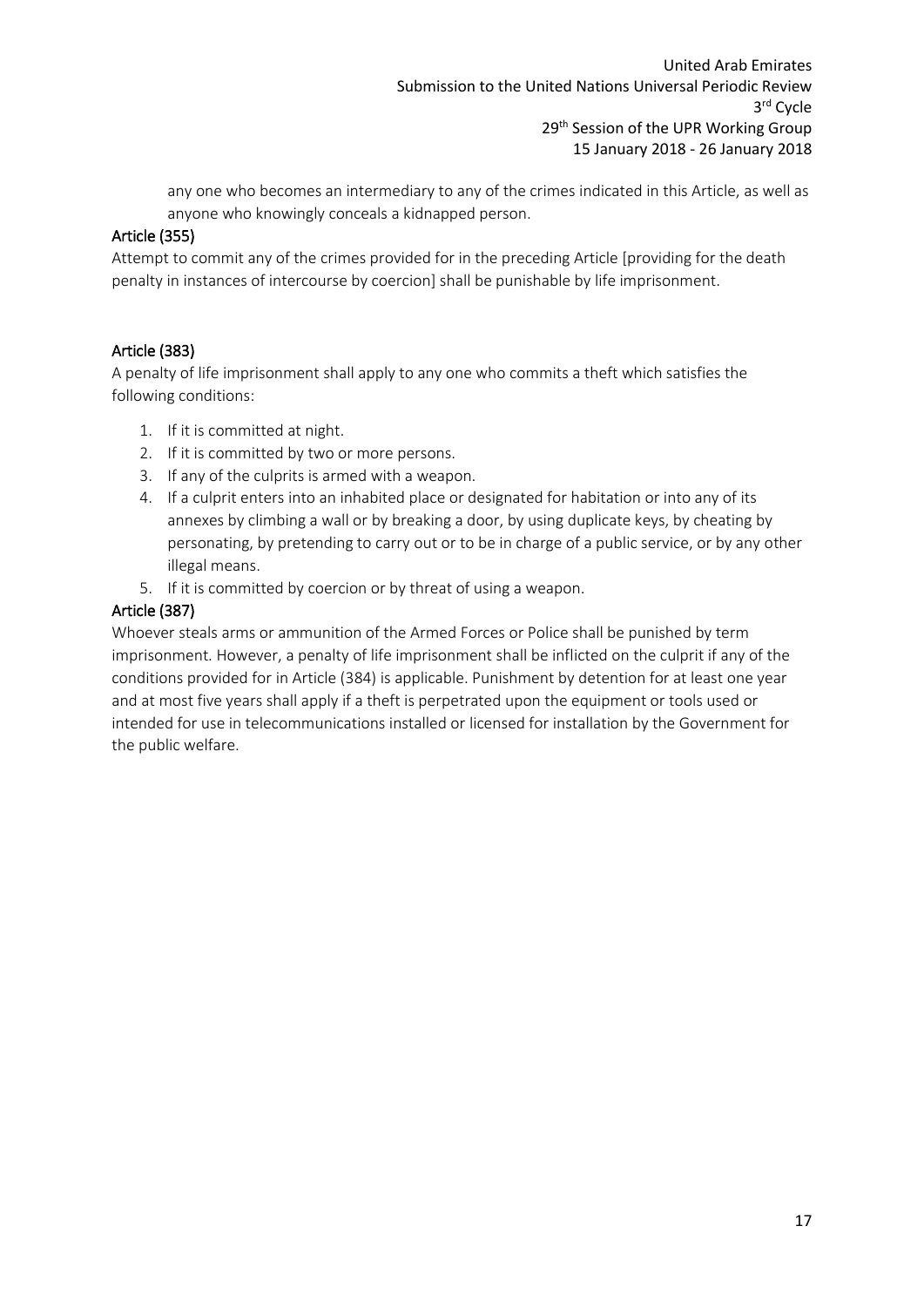any one who becomes an intermediary to any of the crimes indicated in this Article, as well as anyone who knowingly conceals a kidnapped person.

# Article (355)

Attempt to commit any of the crimes provided for in the preceding Article [providing for the death penalty in instances of intercourse by coercion] shall be punishable by life imprisonment.

## Article (383)

A penalty of life imprisonment shall apply to any one who commits a theft which satisfies the following conditions:

- 1. If it is committed at night.
- 2. If it is committed by two or more persons.
- 3. If any of the culprits is armed with a weapon.
- 4. If a culprit enters into an inhabited place or designated for habitation or into any of its annexes by climbing a wall or by breaking a door, by using duplicate keys, by cheating by personating, by pretending to carry out or to be in charge of a public service, or by any other illegal means.
- 5. If it is committed by coercion or by threat of using a weapon.

# Article (387)

Whoever steals arms or ammunition of the Armed Forces or Police shall be punished by term imprisonment. However, a penalty of life imprisonment shall be inflicted on the culprit if any of the conditions provided for in Article (384) is applicable. Punishment by detention for at least one year and at most five years shall apply if a theft is perpetrated upon the equipment or tools used or intended for use in telecommunications installed or licensed for installation by the Government for the public welfare.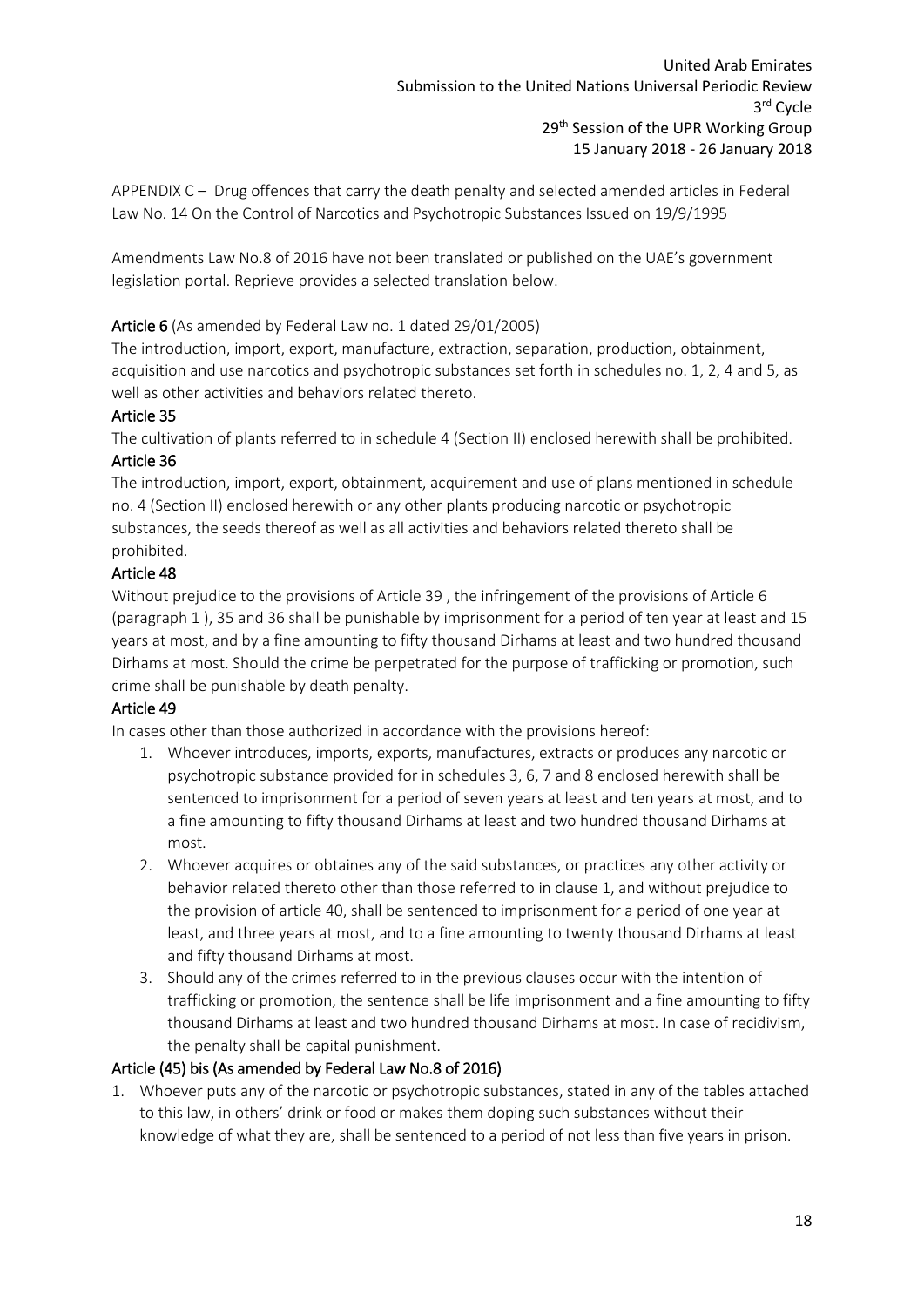<span id="page-18-0"></span>APPENDIX C – Drug offences that carry the death penalty and selected amended articles in Federal Law No. 14 On the Control of Narcotics and Psychotropic Substances Issued on 19/9/1995

Amendments Law No.8 of 2016 have not been translated or published on the UAE's government legislation portal. Reprieve provides a selected translation below.

## Article 6 (As amended by Federal Law no. 1 dated 29/01/2005)

The introduction, import, export, manufacture, extraction, separation, production, obtainment, acquisition and use narcotics and psychotropic substances set forth in schedules no. 1, 2, 4 and 5, as well as other activities and behaviors related thereto.

#### Article 35

The cultivation of plants referred to in schedule 4 (Section II) enclosed herewith shall be prohibited. Article 36

The introduction, import, export, obtainment, acquirement and use of plans mentioned in schedule no. 4 (Section II) enclosed herewith or any other plants producing narcotic or psychotropic substances, the seeds thereof as well as all activities and behaviors related thereto shall be prohibited.

## Article 48

Without prejudice to the provisions of Article 39 , the infringement of the provisions of Article 6 (paragraph 1 ), 35 and 36 shall be punishable by imprisonment for a period of ten year at least and 15 years at most, and by a fine amounting to fifty thousand Dirhams at least and two hundred thousand Dirhams at most. Should the crime be perpetrated for the purpose of trafficking or promotion, such crime shall be punishable by death penalty.

## Article 49

In cases other than those authorized in accordance with the provisions hereof:

- 1. Whoever introduces, imports, exports, manufactures, extracts or produces any narcotic or psychotropic substance provided for in schedules 3, 6, 7 and 8 enclosed herewith shall be sentenced to imprisonment for a period of seven years at least and ten years at most, and to a fine amounting to fifty thousand Dirhams at least and two hundred thousand Dirhams at most.
- 2. Whoever acquires or obtaines any of the said substances, or practices any other activity or behavior related thereto other than those referred to in clause 1, and without prejudice to the provision of article 40, shall be sentenced to imprisonment for a period of one year at least, and three years at most, and to a fine amounting to twenty thousand Dirhams at least and fifty thousand Dirhams at most.
- 3. Should any of the crimes referred to in the previous clauses occur with the intention of trafficking or promotion, the sentence shall be life imprisonment and a fine amounting to fifty thousand Dirhams at least and two hundred thousand Dirhams at most. In case of recidivism, the penalty shall be capital punishment.

## Article (45) bis (As amended by Federal Law No.8 of 2016)

1. Whoever puts any of the narcotic or psychotropic substances, stated in any of the tables attached to this law, in others' drink or food or makes them doping such substances without their knowledge of what they are, shall be sentenced to a period of not less than five years in prison.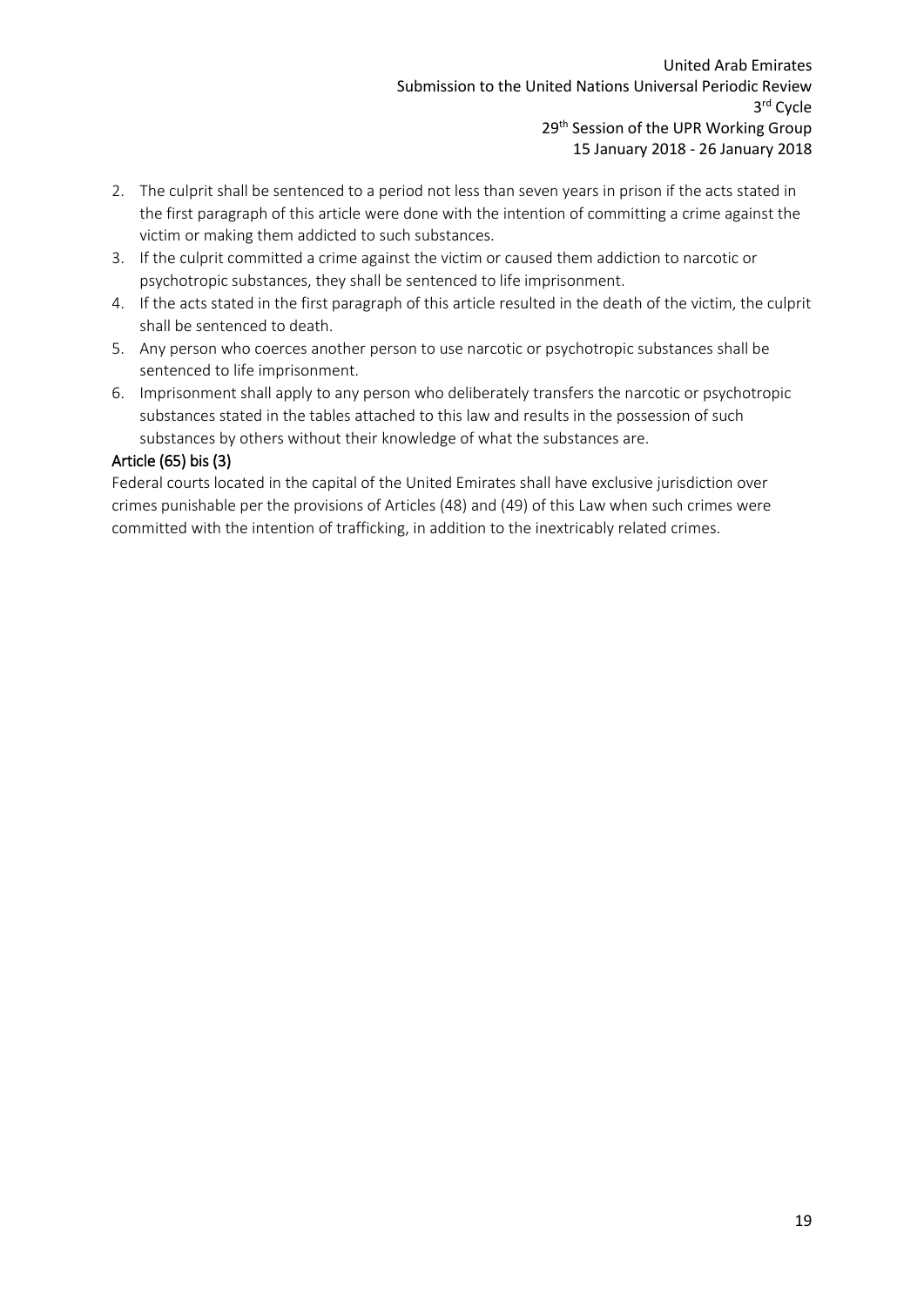- 2. The culprit shall be sentenced to a period not less than seven years in prison if the acts stated in the first paragraph of this article were done with the intention of committing a crime against the victim or making them addicted to such substances.
- 3. If the culprit committed a crime against the victim or caused them addiction to narcotic or psychotropic substances, they shall be sentenced to life imprisonment.
- 4. If the acts stated in the first paragraph of this article resulted in the death of the victim, the culprit shall be sentenced to death.
- 5. Any person who coerces another person to use narcotic or psychotropic substances shall be sentenced to life imprisonment.
- 6. Imprisonment shall apply to any person who deliberately transfers the narcotic or psychotropic substances stated in the tables attached to this law and results in the possession of such substances by others without their knowledge of what the substances are.

## Article (65) bis (3)

Federal courts located in the capital of the United Emirates shall have exclusive jurisdiction over crimes punishable per the provisions of Articles (48) and (49) of this Law when such crimes were committed with the intention of trafficking, in addition to the inextricably related crimes.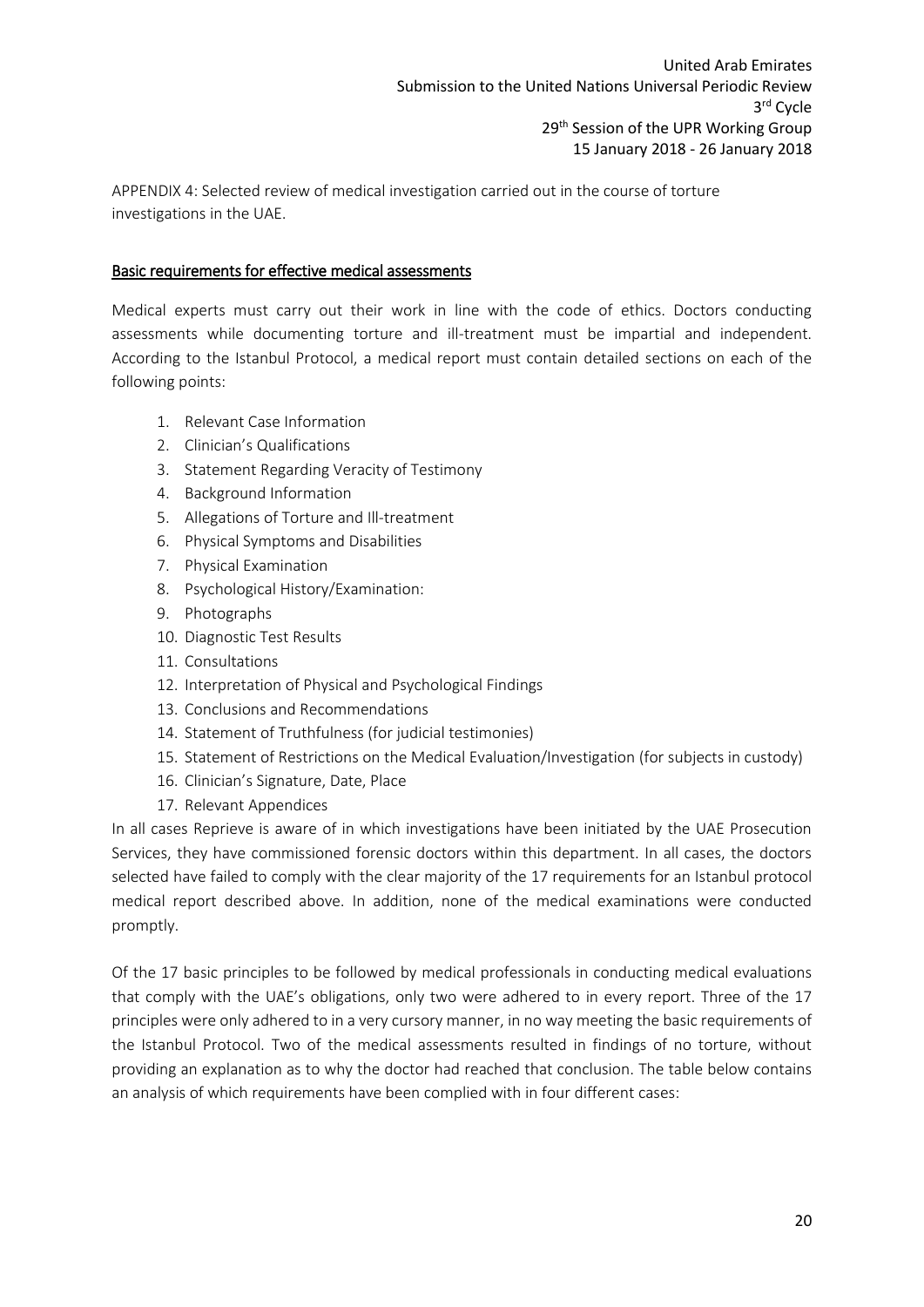<span id="page-20-0"></span>APPENDIX 4: Selected review of medical investigation carried out in the course of torture investigations in the UAE.

## Basic requirements for effective medical assessments

Medical experts must carry out their work in line with the code of ethics. Doctors conducting assessments while documenting torture and ill-treatment must be impartial and independent. According to the Istanbul Protocol, a medical report must contain detailed sections on each of the following points:

- 1. Relevant Case Information
- 2. Clinician's Qualifications
- 3. Statement Regarding Veracity of Testimony
- 4. Background Information
- 5. Allegations of Torture and Ill-treatment
- 6. Physical Symptoms and Disabilities
- 7. Physical Examination
- 8. Psychological History/Examination:
- 9. Photographs
- 10. Diagnostic Test Results
- 11. Consultations
- 12. Interpretation of Physical and Psychological Findings
- 13. Conclusions and Recommendations
- 14. Statement of Truthfulness (for judicial testimonies)
- 15. Statement of Restrictions on the Medical Evaluation/Investigation (for subjects in custody)
- 16. Clinician's Signature, Date, Place
- 17. Relevant Appendices

In all cases Reprieve is aware of in which investigations have been initiated by the UAE Prosecution Services, they have commissioned forensic doctors within this department. In all cases, the doctors selected have failed to comply with the clear majority of the 17 requirements for an Istanbul protocol medical report described above. In addition, none of the medical examinations were conducted promptly.

Of the 17 basic principles to be followed by medical professionals in conducting medical evaluations that comply with the UAE's obligations, only two were adhered to in every report. Three of the 17 principles were only adhered to in a very cursory manner, in no way meeting the basic requirements of the Istanbul Protocol. Two of the medical assessments resulted in findings of no torture, without providing an explanation as to why the doctor had reached that conclusion. The table below contains an analysis of which requirements have been complied with in four different cases: